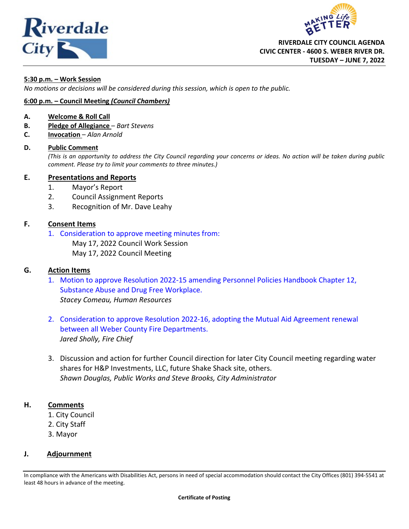<span id="page-0-0"></span>



### **5:30 p.m. – Work Session**

*No motions or decisions will be considered during this session, which is open to the public.*

### **6:00 p.m. – Council Meeting** *(Council Chambers)*

### **A. Welcome & Roll Call**

- **B. Pledge of Allegiance** *Bart Stevens*
- **C. Invocation** *Alan Arnold*

### **D. Public Comment**

*(This is an opportunity to address the City Council regarding your concerns or ideas. No action will be taken during public comment. Please try to limit your comments to three minutes.)*

### **E. Presentations and Reports**

- 1. Mayor's Report
- 2. Council Assignment Reports
- 3. Recognition of Mr. Dave Leahy

### **F. Consent Items**

1. [Consideration to approve meeting minutes from:](#page-2-0)

May 17, 2022 Council Work Session

May 17, 2022 Council Meeting

### **G. Action Items**

- 1. [Motion to approve Resolution 2022-15 amending Personnel Policies Handbook Chapter 12,](#page-9-0) Substance Abuse and Drug Free Workplace. *Stacey Comeau, Human Resources*
- 2. [Consideration to approve Resolution 2022-16, adopting the Mutual Aid Agreement renewal](#page-30-0) between all Weber County Fire Departments. *Jared Sholly, Fire Chief*
- 3. Discussion and action for further Council direction for later City Council meeting regarding water shares for H&P Investments, LLC, future Shake Shack site, others. *Shawn Douglas, Public Works and Steve Brooks, City Administrator*

### **H. Comments**

- 1. City Council
- 2. City Staff
- 3. Mayor

### **J. Adjournment**

In compliance with the Americans with Disabilities Act, persons in need of special accommodation should contact the City Offices (801) 394-5541 at least 48 hours in advance of the meeting.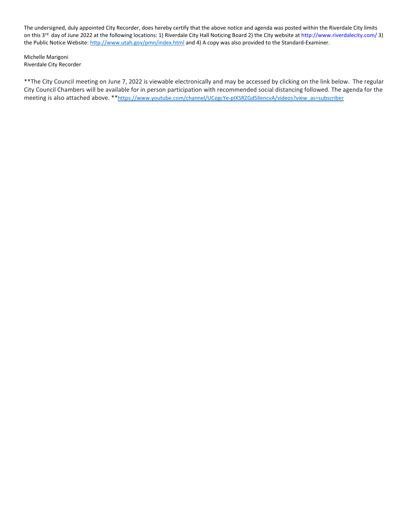The undersigned, duly appointed City Recorder, does hereby certify that the above notice and agenda was posted within the Riverdale City limits on this 3rd day of June 2022 at the following locations: 1) Riverdale City Hall Noticing Board 2) the City website a[t http://www.riverdalecity.com/](http://www.riverdalecity.com/) 3) the Public Notice Website:<http://www.utah.gov/pmn/index.html> and 4) A copy was also provided to the Standard-Examiner.

Michelle Marigoni Riverdale City Recorder

\*\*The City Council meeting on June 7, 2022 is viewable electronically and may be accessed by clicking on the link below. The regular City Council Chambers will be available for in person participation with recommended social distancing followed. The agenda for the meeting is also attached above. \*\* https://www.youtube.com/channel/UCegcYe-pIXSRZGd5llencvA/videos?view\_as=subscriber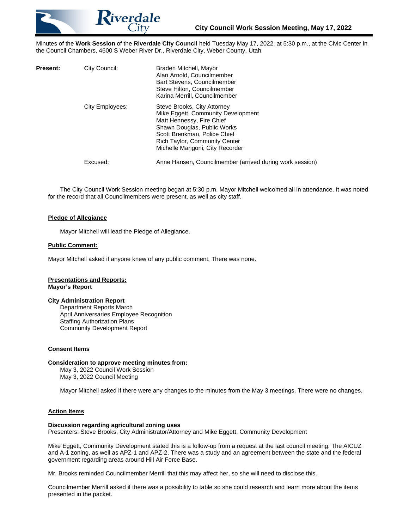<span id="page-2-0"></span>

Minutes of the **Work Session** of the **Riverdale City Council** held Tuesday May 17, 2022, at 5:30 p.m., at the Civic Center in the Council Chambers, 4600 S Weber River Dr., Riverdale City, Weber County, Utah.

| Present: | City Council:   | Braden Mitchell, Mayor<br>Alan Arnold, Councilmember<br>Bart Stevens, Councilmember<br>Steve Hilton, Councilmember<br>Karina Merrill, Councilmember                                                                                       |
|----------|-----------------|-------------------------------------------------------------------------------------------------------------------------------------------------------------------------------------------------------------------------------------------|
|          | City Employees: | Steve Brooks, City Attorney<br>Mike Eggett, Community Development<br>Matt Hennessy, Fire Chief<br>Shawn Douglas, Public Works<br>Scott Brenkman, Police Chief<br><b>Rich Taylor, Community Center</b><br>Michelle Marigoni, City Recorder |
|          | Excused:        | Anne Hansen, Councilmember (arrived during work session)                                                                                                                                                                                  |

The City Council Work Session meeting began at 5:30 p.m. Mayor Mitchell welcomed all in attendance. It was noted for the record that all Councilmembers were present, as well as city staff.

### **Pledge of Allegiance**

Mayor Mitchell will lead the Pledge of Allegiance.

### **Public Comment:**

Mayor Mitchell asked if anyone knew of any public comment. There was none.

### **Presentations and Reports: Mayor's Report**

### **City Administration Report**

Department Reports March April Anniversaries Employee Recognition Staffing Authorization Plans Community Development Report

### **Consent Items**

### **Consideration to approve meeting minutes from:**

May 3, 2022 Council Work Session May 3, 2022 Council Meeting

Mayor Mitchell asked if there were any changes to the minutes from the May 3 meetings. There were no changes.

### **Action Items**

### **Discussion regarding agricultural zoning uses**

Presenters: Steve Brooks, City Administrator/Attorney and Mike Eggett, Community Development

Mike Eggett, Community Development stated this is a follow-up from a request at the last council meeting. The AICUZ and A-1 zoning, as well as APZ-1 and APZ-2. There was a study and an agreement between the state and the federal government regarding areas around Hill Air Force Base.

Mr. Brooks reminded Councilmember Merrill that this may affect her, so she will need to disclose this.

Councilmember Merrill asked if there was a possibility to table so she could research and learn more about the items presented in the packet.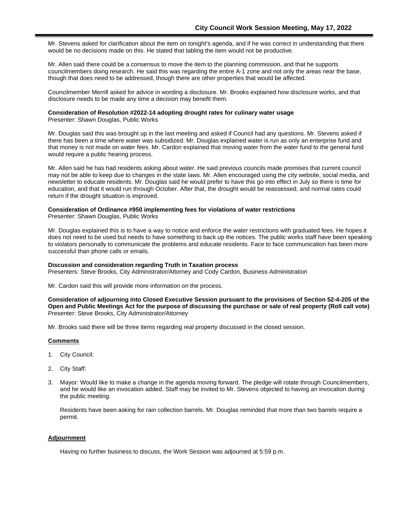Mr. Stevens asked for clarification about the item on tonight's agenda, and if he was correct in understanding that there would be no decisions made on this. He stated that tabling the item would not be productive.

Mr. Allen said there could be a consensus to move the item to the planning commission, and that he supports councilmembers doing research. He said this was regarding the entire A-1 zone and not only the areas near the base, though that does need to be addressed, though there are other properties that would be affected.

Councilmember Merrill asked for advice in wording a disclosure. Mr. Brooks explained how disclosure works, and that disclosure needs to be made any time a decision may benefit them.

### **Consideration of Resolution #2022-14 adopting drought rates for culinary water usage**

Presenter: Shawn Douglas, Public Works

Mr. Douglas said this was brought up in the last meeting and asked if Council had any questions. Mr. Stevens asked if there has been a time where water was subsidized. Mr. Douglas explained water is run as only an enterprise fund and that money is not made on water fees. Mr. Cardon explained that moving water from the water fund to the general fund would require a public hearing process.

Mr. Allen said he has had residents asking about water. He said previous councils made promises that current council may not be able to keep due to changes in the state laws. Mr. Allen encouraged using the city website, social media, and newsletter to educate residents. Mr. Douglas said he would prefer to have this go into effect in July so there is time for education, and that it would run through October. After that, the drought would be reassessed, and normal rates could return if the drought situation is improved.

## **Consideration of Ordinance #950 implementing fees for violations of water restrictions**

Presenter: Shawn Douglas, Public Works

Mr. Douglas explained this is to have a way to notice and enforce the water restrictions with graduated fees. He hopes it does not need to be used but needs to have something to back up the notices. The public works staff have been speaking to violators personally to communicate the problems and educate residents. Face to face communication has been more successful than phone calls or emails.

### **Discussion and consideration regarding Truth in Taxation process**

Presenters: Steve Brooks, City Administrator/Attorney and Cody Cardon, Business Administration

Mr. Cardon said this will provide more information on the process.

### **Consideration of adjourning into Closed Executive Session pursuant to the provisions of Section 52-4-205 of the Open and Public Meetings Act for the purpose of discussing the purchase or sale of real property (Roll call vote)** Presenter: Steve Brooks, City Administrator/Attorney

Mr. Brooks said there will be three items regarding real property discussed in the closed session.

### **Comments**

- 1. City Council:
- 2. City Staff:
- 3. Mayor: Would like to make a change in the agenda moving forward. The pledge will rotate through Councilmembers, and he would like an invocation added. Staff may be invited to Mr. Stevens objected to having an invocation during the public meeting.

Residents have been asking for rain collection barrels. Mr. Douglas reminded that more than two barrels require a permit.

### **Adjournment**

Having no further business to discuss, the Work Session was adjourned at 5:59 p.m.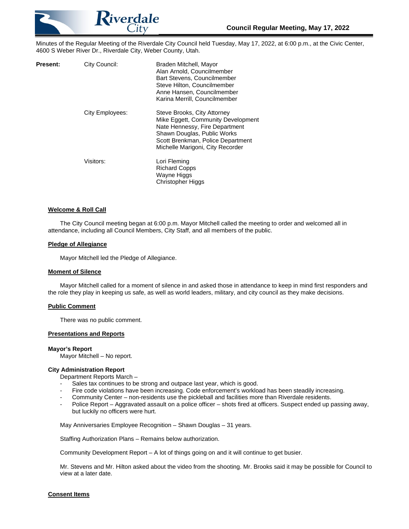

Minutes of the Regular Meeting of the Riverdale City Council held Tuesday, May 17, 2022, at 6:00 p.m., at the Civic Center, 4600 S Weber River Dr., Riverdale City, Weber County, Utah.

| Present: | City Council:   | Braden Mitchell, Mayor<br>Alan Arnold, Councilmember<br>Bart Stevens, Councilmember<br>Steve Hilton, Councilmember<br>Anne Hansen, Councilmember<br>Karina Merrill, Councilmember                           |
|----------|-----------------|-------------------------------------------------------------------------------------------------------------------------------------------------------------------------------------------------------------|
|          | City Employees: | Steve Brooks, City Attorney<br>Mike Eggett, Community Development<br>Nate Hennessy, Fire Department<br>Shawn Douglas, Public Works<br>Scott Brenkman, Police Department<br>Michelle Marigoni, City Recorder |
|          | Visitors:       | Lori Fleming<br><b>Richard Copps</b><br>Wayne Higgs<br><b>Christopher Higgs</b>                                                                                                                             |

### **Welcome & Roll Call**

The City Council meeting began at 6:00 p.m. Mayor Mitchell called the meeting to order and welcomed all in attendance, including all Council Members, City Staff, and all members of the public.

### **Pledge of Allegiance**

Mayor Mitchell led the Pledge of Allegiance.

### **Moment of Silence**

Mayor Mitchell called for a moment of silence in and asked those in attendance to keep in mind first responders and the role they play in keeping us safe, as well as world leaders, military, and city council as they make decisions.

### **Public Comment**

There was no public comment.

### **Presentations and Reports**

### **Mayor's Report**

Mayor Mitchell – No report.

### **City Administration Report**

Department Reports March –

- Sales tax continues to be strong and outpace last year, which is good.
- Fire code violations have been increasing. Code enforcement's workload has been steadily increasing.
- Community Center non-residents use the pickleball and facilities more than Riverdale residents.
- Police Report Aggravated assault on a police officer shots fired at officers. Suspect ended up passing away, but luckily no officers were hurt.

May Anniversaries Employee Recognition – Shawn Douglas – 31 years.

Staffing Authorization Plans – Remains below authorization.

Community Development Report – A lot of things going on and it will continue to get busier.

Mr. Stevens and Mr. Hilton asked about the video from the shooting. Mr. Brooks said it may be possible for Council to view at a later date.

### **Consent Items**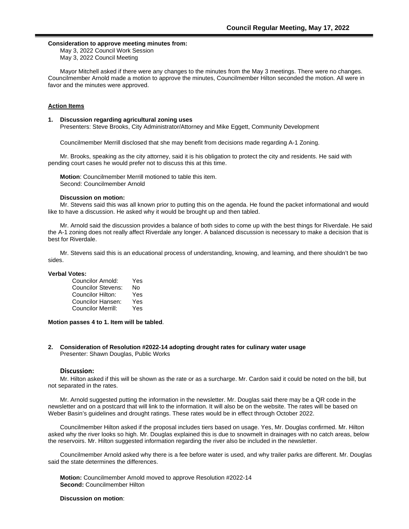### **Consideration to approve meeting minutes from:**

May 3, 2022 Council Work Session May 3, 2022 Council Meeting

Mayor Mitchell asked if there were any changes to the minutes from the May 3 meetings. There were no changes. Councilmember Arnold made a motion to approve the minutes, Councilmember Hilton seconded the motion. All were in favor and the minutes were approved.

### **Action Items**

### **1. Discussion regarding agricultural zoning uses**

Presenters: Steve Brooks, City Administrator/Attorney and Mike Eggett, Community Development

Councilmember Merrill disclosed that she may benefit from decisions made regarding A-1 Zoning.

Mr. Brooks, speaking as the city attorney, said it is his obligation to protect the city and residents. He said with pending court cases he would prefer not to discuss this at this time.

**Motion**: Councilmember Merrill motioned to table this item. Second: Councilmember Arnold

### **Discussion on motion:**

Mr. Stevens said this was all known prior to putting this on the agenda. He found the packet informational and would like to have a discussion. He asked why it would be brought up and then tabled.

Mr. Arnold said the discussion provides a balance of both sides to come up with the best things for Riverdale. He said the A-1 zoning does not really affect Riverdale any longer. A balanced discussion is necessary to make a decision that is best for Riverdale.

Mr. Stevens said this is an educational process of understanding, knowing, and learning, and there shouldn't be two sides.

### **Verbal Votes:**

| Councilor Arnold:         | Yes |
|---------------------------|-----|
| <b>Councilor Stevens:</b> | No  |
| Councilor Hilton:         | Yes |
| Councilor Hansen:         | Yes |
| <b>Councilor Merrill:</b> | Yes |

**Motion passes 4 to 1. Item will be tabled**.

**2. Consideration of Resolution #2022-14 adopting drought rates for culinary water usage**  Presenter: Shawn Douglas, Public Works

### **Discussion:**

Mr. Hilton asked if this will be shown as the rate or as a surcharge. Mr. Cardon said it could be noted on the bill, but not separated in the rates.

Mr. Arnold suggested putting the information in the newsletter. Mr. Douglas said there may be a QR code in the newsletter and on a postcard that will link to the information. It will also be on the website. The rates will be based on Weber Basin's guidelines and drought ratings. These rates would be in effect through October 2022.

Councilmember Hilton asked if the proposal includes tiers based on usage. Yes, Mr. Douglas confirmed. Mr. Hilton asked why the river looks so high. Mr. Douglas explained this is due to snowmelt in drainages with no catch areas, below the reservoirs. Mr. Hilton suggested information regarding the river also be included in the newsletter.

Councilmember Arnold asked why there is a fee before water is used, and why trailer parks are different. Mr. Douglas said the state determines the differences.

**Motion:** Councilmember Arnold moved to approve Resolution #2022-14 **Second:** Councilmember Hilton

### **Discussion on motion**: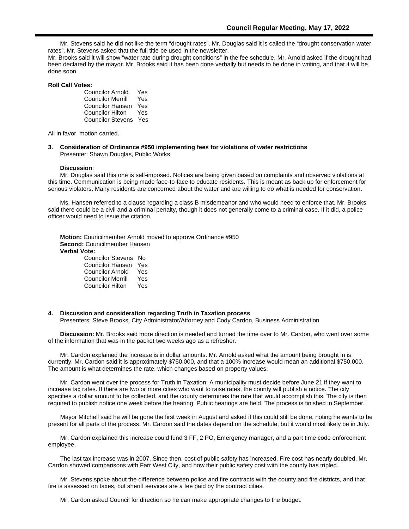Mr. Stevens said he did not like the term "drought rates". Mr. Douglas said it is called the "drought conservation water rates". Mr. Stevens asked that the full title be used in the newsletter.

Mr. Brooks said it will show "water rate during drought conditions" in the fee schedule. Mr. Arnold asked if the drought had been declared by the mayor. Mr. Brooks said it has been done verbally but needs to be done in writing, and that it will be done soon.

### **Roll Call Votes:**

| <b>Councilor Arnold</b>  | Yes |
|--------------------------|-----|
| <b>Councilor Merrill</b> | Yes |
| Councilor Hansen         | Yes |
| <b>Councilor Hilton</b>  | Yes |
| <b>Councilor Stevens</b> | Yes |

All in favor, motion carried.

**3. Consideration of Ordinance #950 implementing fees for violations of water restrictions**  Presenter: Shawn Douglas, Public Works

### **Discussion**:

Mr. Douglas said this one is self-imposed. Notices are being given based on complaints and observed violations at this time. Communication is being made face-to-face to educate residents. This is meant as back up for enforcement for serious violators. Many residents are concerned about the water and are willing to do what is needed for conservation.

Ms. Hansen referred to a clause regarding a class B misdemeanor and who would need to enforce that. Mr. Brooks said there could be a civil and a criminal penalty, though it does not generally come to a criminal case. If it did, a police officer would need to issue the citation.

**Motion:** Councilmember Arnold moved to approve Ordinance #950 **Second:** Councilmember Hansen **Verbal Vote:**  Council Stevens No. 3

| Counclior Stevens | סעו  |
|-------------------|------|
| Councilor Hansen  | Yes  |
| Councilor Arnold  | Yes  |
| Councilor Merrill | Yes  |
| Councilor Hilton  | Yes. |

### **4. Discussion and consideration regarding Truth in Taxation process**

Presenters: Steve Brooks, City Administrator/Attorney and Cody Cardon, Business Administration

**Discussion:** Mr. Brooks said more direction is needed and turned the time over to Mr. Cardon, who went over some of the information that was in the packet two weeks ago as a refresher.

Mr. Cardon explained the increase is in dollar amounts. Mr. Arnold asked what the amount being brought in is currently. Mr. Cardon said it is approximately \$750,000, and that a 100% increase would mean an additional \$750,000. The amount is what determines the rate, which changes based on property values.

Mr. Cardon went over the process for Truth in Taxation: A municipality must decide before June 21 if they want to increase tax rates. If there are two or more cities who want to raise rates, the county will publish a notice. The city specifies a dollar amount to be collected, and the county determines the rate that would accomplish this. The city is then required to publish notice one week before the hearing. Public hearings are held. The process is finished in September.

Mayor Mitchell said he will be gone the first week in August and asked if this could still be done, noting he wants to be present for all parts of the process. Mr. Cardon said the dates depend on the schedule, but it would most likely be in July.

Mr. Cardon explained this increase could fund 3 FF, 2 PO, Emergency manager, and a part time code enforcement employee.

The last tax increase was in 2007. Since then, cost of public safety has increased. Fire cost has nearly doubled. Mr. Cardon showed comparisons with Farr West City, and how their public safety cost with the county has tripled.

Mr. Stevens spoke about the difference between police and fire contracts with the county and fire districts, and that fire is assessed on taxes, but sheriff services are a fee paid by the contract cities.

Mr. Cardon asked Council for direction so he can make appropriate changes to the budget.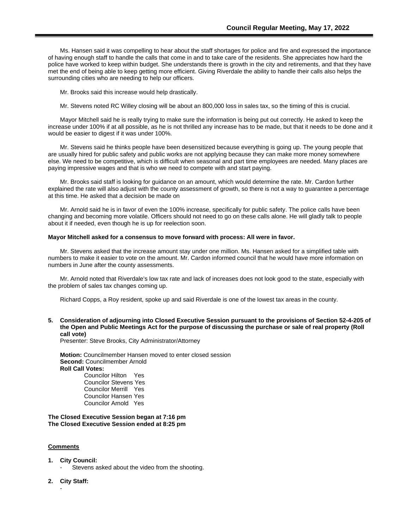Ms. Hansen said it was compelling to hear about the staff shortages for police and fire and expressed the importance of having enough staff to handle the calls that come in and to take care of the residents. She appreciates how hard the police have worked to keep within budget. She understands there is growth in the city and retirements, and that they have met the end of being able to keep getting more efficient. Giving Riverdale the ability to handle their calls also helps the surrounding cities who are needing to help our officers.

Mr. Brooks said this increase would help drastically.

Mr. Stevens noted RC Willey closing will be about an 800,000 loss in sales tax, so the timing of this is crucial.

Mayor Mitchell said he is really trying to make sure the information is being put out correctly. He asked to keep the increase under 100% if at all possible, as he is not thrilled any increase has to be made, but that it needs to be done and it would be easier to digest if it was under 100%.

Mr. Stevens said he thinks people have been desensitized because everything is going up. The young people that are usually hired for public safety and public works are not applying because they can make more money somewhere else. We need to be competitive, which is difficult when seasonal and part time employees are needed. Many places are paying impressive wages and that is who we need to compete with and start paying.

Mr. Brooks said staff is looking for guidance on an amount, which would determine the rate. Mr. Cardon further explained the rate will also adjust with the county assessment of growth, so there is not a way to guarantee a percentage at this time. He asked that a decision be made on

Mr. Arnold said he is in favor of even the 100% increase, specifically for public safety. The police calls have been changing and becoming more volatile. Officers should not need to go on these calls alone. He will gladly talk to people about it if needed, even though he is up for reelection soon.

### **Mayor Mitchell asked for a consensus to move forward with process: All were in favor.**

Mr. Stevens asked that the increase amount stay under one million. Ms. Hansen asked for a simplified table with numbers to make it easier to vote on the amount. Mr. Cardon informed council that he would have more information on numbers in June after the county assessments.

Mr. Arnold noted that Riverdale's low tax rate and lack of increases does not look good to the state, especially with the problem of sales tax changes coming up.

Richard Copps, a Roy resident, spoke up and said Riverdale is one of the lowest tax areas in the county.

**5. Consideration of adjourning into Closed Executive Session pursuant to the provisions of Section 52-4-205 of the Open and Public Meetings Act for the purpose of discussing the purchase or sale of real property (Roll call vote)**

Presenter: Steve Brooks, City Administrator/Attorney

**Motion:** Councilmember Hansen moved to enter closed session **Second:** Councilmember Arnold **Roll Call Votes:**  Councilor Hilton Yes Councilor Stevens Yes

Councilor Merrill Yes Councilor Hansen Yes Councilor Arnold Yes

**The Closed Executive Session began at 7:16 pm The Closed Executive Session ended at 8:25 pm**

### **Comments**

- **1. City Council:** 
	- Stevens asked about the video from the shooting.
- **2. City Staff:**

-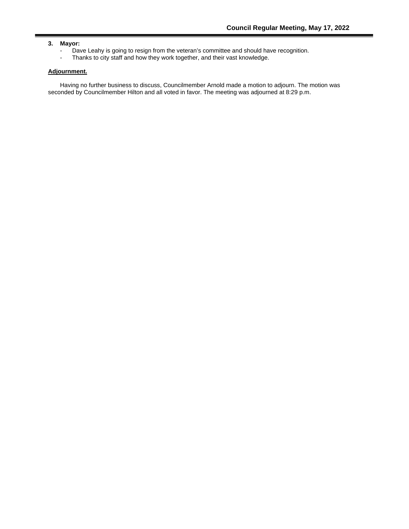### **3. Mayor:**

- Dave Leahy is going to resign from the veteran's committee and should have recognition.<br>- Thanks to city staff and how they work together, and their vast knowledge.
- Thanks to city staff and how they work together, and their vast knowledge.

### **Adjournment.**

Having no further business to discuss, Councilmember Arnold made a motion to adjourn. The motion was seconded by Councilmember Hilton and all voted in favor. The meeting was adjourned at 8:29 p.m.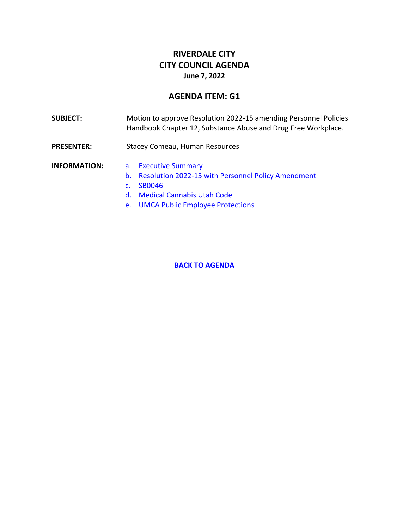## **RIVERDALE CITY CITY COUNCIL AGENDA June 7, 2022**

## **AGENDA ITEM: G1**

<span id="page-9-0"></span>

| <b>SUBJECT:</b>     | Motion to approve Resolution 2022-15 amending Personnel Policies<br>Handbook Chapter 12, Substance Abuse and Drug Free Workplace.                                                                   |
|---------------------|-----------------------------------------------------------------------------------------------------------------------------------------------------------------------------------------------------|
| <b>PRESENTER:</b>   | <b>Stacey Comeau, Human Resources</b>                                                                                                                                                               |
| <b>INFORMATION:</b> | a. Executive Summary<br>b. Resolution 2022-15 with Personnel Policy Amendment<br>SB0046<br>$\mathbf{C}$<br><b>Medical Cannabis Utah Code</b><br>$d_{\infty}$<br>e. UMCA Public Employee Protections |

**[BACK TO AGENDA](#page-0-0)**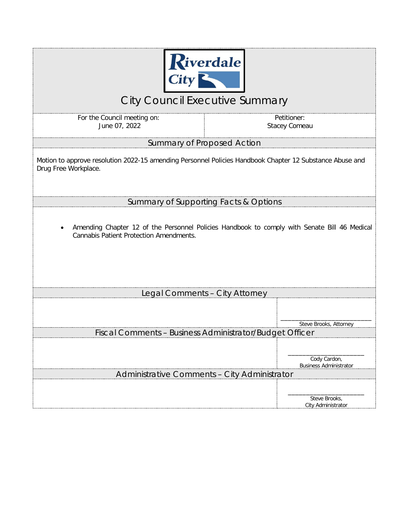

# City Council Executive Summary

<span id="page-10-0"></span>For the Council meeting on: June 07, 2022

Petitioner: Stacey Comeau

Summary of Proposed Action

Motion to approve resolution 2022-15 amending Personnel Policies Handbook Chapter 12 Substance Abuse and Drug Free Workplace.

Summary of Supporting Facts & Options

• Amending Chapter 12 of the Personnel Policies Handbook to comply with Senate Bill 46 Medical Cannabis Patient Protection Amendments.

| Legal Comments - City Attorney                          |                                               |
|---------------------------------------------------------|-----------------------------------------------|
|                                                         |                                               |
|                                                         | Steve Brooks, Attorney                        |
| Fiscal Comments - Business Administrator/Budget Officer |                                               |
|                                                         | Cody Cardon,<br><b>Business Administrator</b> |
| Administrative Comments - City Administrator            |                                               |
|                                                         | Steve Brooks,<br>City Administrator           |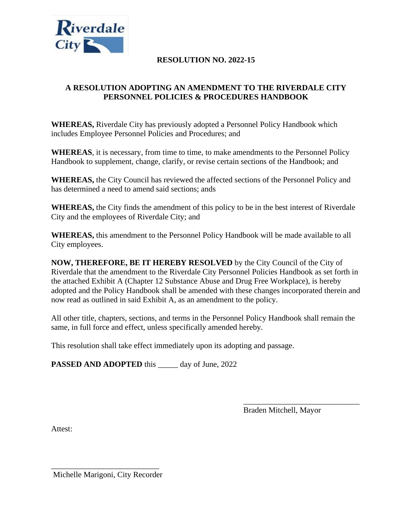<span id="page-11-0"></span>

## **RESOLUTION NO. 2022-15**

## **A RESOLUTION ADOPTING AN AMENDMENT TO THE RIVERDALE CITY PERSONNEL POLICIES & PROCEDURES HANDBOOK**

**WHEREAS,** Riverdale City has previously adopted a Personnel Policy Handbook which includes Employee Personnel Policies and Procedures; and

**WHEREAS**, it is necessary, from time to time, to make amendments to the Personnel Policy Handbook to supplement, change, clarify, or revise certain sections of the Handbook; and

**WHEREAS,** the City Council has reviewed the affected sections of the Personnel Policy and has determined a need to amend said sections; ands

**WHEREAS,** the City finds the amendment of this policy to be in the best interest of Riverdale City and the employees of Riverdale City; and

**WHEREAS,** this amendment to the Personnel Policy Handbook will be made available to all City employees.

**NOW, THEREFORE, BE IT HEREBY RESOLVED** by the City Council of the City of Riverdale that the amendment to the Riverdale City Personnel Policies Handbook as set forth in the attached Exhibit A (Chapter 12 Substance Abuse and Drug Free Workplace), is hereby adopted and the Policy Handbook shall be amended with these changes incorporated therein and now read as outlined in said Exhibit A, as an amendment to the policy.

All other title, chapters, sections, and terms in the Personnel Policy Handbook shall remain the same, in full force and effect, unless specifically amended hereby.

This resolution shall take effect immediately upon its adopting and passage.

**PASSED AND ADOPTED** this day of June, 2022

Braden Mitchell, Mayor

\_\_\_\_\_\_\_\_\_\_\_\_\_\_\_\_\_\_\_\_\_\_\_\_\_\_\_\_\_

Attest:

\_\_\_\_\_\_\_\_\_\_\_\_\_\_\_\_\_\_\_\_\_\_\_\_\_\_\_ Michelle Marigoni, City Recorder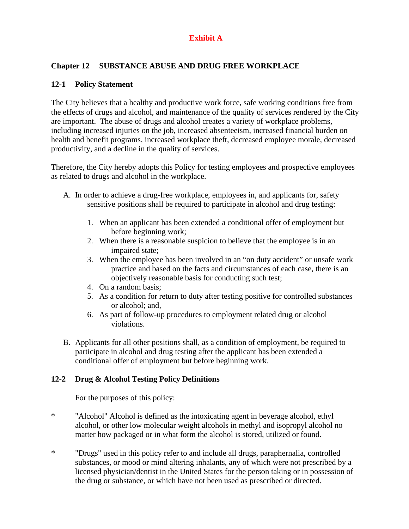## **Exhibit A**

## **Chapter 12 SUBSTANCE ABUSE AND DRUG FREE WORKPLACE**

## **12-1 Policy Statement**

The City believes that a healthy and productive work force, safe working conditions free from the effects of drugs and alcohol, and maintenance of the quality of services rendered by the City are important. The abuse of drugs and alcohol creates a variety of workplace problems, including increased injuries on the job, increased absenteeism, increased financial burden on health and benefit programs, increased workplace theft, decreased employee morale, decreased productivity, and a decline in the quality of services.

Therefore, the City hereby adopts this Policy for testing employees and prospective employees as related to drugs and alcohol in the workplace.

- A. In order to achieve a drug-free workplace, employees in, and applicants for, safety sensitive positions shall be required to participate in alcohol and drug testing:
	- 1. When an applicant has been extended a conditional offer of employment but before beginning work;
	- 2. When there is a reasonable suspicion to believe that the employee is in an impaired state;
	- 3. When the employee has been involved in an "on duty accident" or unsafe work practice and based on the facts and circumstances of each case, there is an objectively reasonable basis for conducting such test;
	- 4. On a random basis;
	- 5. As a condition for return to duty after testing positive for controlled substances or alcohol; and,
	- 6. As part of follow-up procedures to employment related drug or alcohol violations.
- B. Applicants for all other positions shall, as a condition of employment, be required to participate in alcohol and drug testing after the applicant has been extended a conditional offer of employment but before beginning work.

## **12-2 Drug & Alcohol Testing Policy Definitions**

For the purposes of this policy:

- \* "Alcohol" Alcohol is defined as the intoxicating agent in beverage alcohol, ethyl alcohol, or other low molecular weight alcohols in methyl and isopropyl alcohol no matter how packaged or in what form the alcohol is stored, utilized or found.
- \* "Drugs" used in this policy refer to and include all drugs, paraphernalia, controlled substances, or mood or mind altering inhalants, any of which were not prescribed by a licensed physician/dentist in the United States for the person taking or in possession of the drug or substance, or which have not been used as prescribed or directed.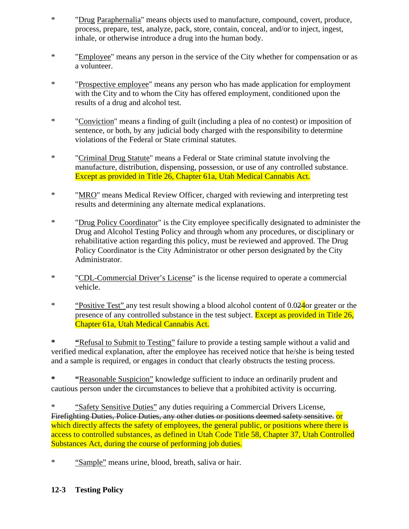- \* "Drug Paraphernalia" means objects used to manufacture, compound, covert, produce, process, prepare, test, analyze, pack, store, contain, conceal, and/or to inject, ingest, inhale, or otherwise introduce a drug into the human body.
- \* "Employee" means any person in the service of the City whether for compensation or as a volunteer.
- \* "Prospective employee" means any person who has made application for employment with the City and to whom the City has offered employment, conditioned upon the results of a drug and alcohol test.
- \* "Conviction" means a finding of guilt (including a plea of no contest) or imposition of sentence, or both, by any judicial body charged with the responsibility to determine violations of the Federal or State criminal statutes.
- \* "Criminal Drug Statute" means a Federal or State criminal statute involving the manufacture, distribution, dispensing, possession, or use of any controlled substance. Except as provided in Title 26, Chapter 61a, Utah Medical Cannabis Act.
- \* "MRO" means Medical Review Officer, charged with reviewing and interpreting test results and determining any alternate medical explanations.
- \* "Drug Policy Coordinator" is the City employee specifically designated to administer the Drug and Alcohol Testing Policy and through whom any procedures, or disciplinary or rehabilitative action regarding this policy, must be reviewed and approved. The Drug Policy Coordinator is the City Administrator or other person designated by the City Administrator.
- \* "CDL-Commercial Driver's License" is the license required to operate a commercial vehicle.
- \* "Positive Test" any test result showing a blood alcohol content of 0.024or greater or the presence of any controlled substance in the test subject. Except as provided in Title 26, Chapter 61a, Utah Medical Cannabis Act.

**\* "**Refusal to Submit to Testing" failure to provide a testing sample without a valid and verified medical explanation, after the employee has received notice that he/she is being tested and a sample is required, or engages in conduct that clearly obstructs the testing process.

**\* "**Reasonable Suspicion" knowledge sufficient to induce an ordinarily prudent and cautious person under the circumstances to believe that a prohibited activity is occurring.

\* "Safety Sensitive Duties" any duties requiring a Commercial Drivers License, Firefighting Duties, Police Duties, any other duties or positions deemed safety sensitive. Or which directly affects the safety of employees, the general public, or positions where there is access to controlled substances, as defined in Utah Code Title 58, Chapter 37, Utah Controlled Substances Act, during the course of performing job duties.

\* "Sample" means urine, blood, breath, saliva or hair.

## **12-3 Testing Policy**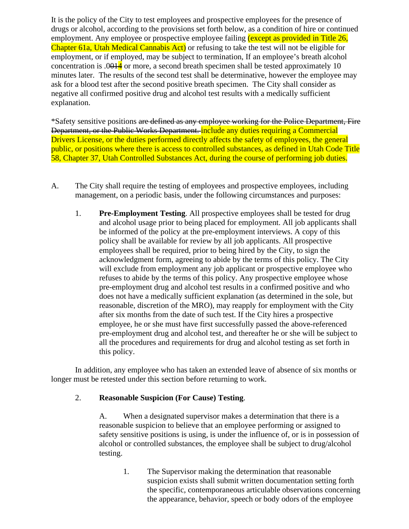It is the policy of the City to test employees and prospective employees for the presence of drugs or alcohol, according to the provisions set forth below, as a condition of hire or continued employment. Any employee or prospective employee failing (except as provided in Title 26, Chapter 61a, Utah Medical Cannabis Act) or refusing to take the test will not be eligible for employment, or if employed, may be subject to termination, If an employee's breath alcohol concentration is  $.0014$  or more, a second breath specimen shall be tested approximately 10 minutes later. The results of the second test shall be determinative, however the employee may ask for a blood test after the second positive breath specimen. The City shall consider as negative all confirmed positive drug and alcohol test results with a medically sufficient explanation.

\*Safety sensitive positions are defined as any employee working for the Police Department, Fire Department, or the Public Works Department. include any duties requiring a Commercial Drivers License, or the duties performed directly affects the safety of employees, the general public, or positions where there is access to controlled substances, as defined in Utah Code Title 58, Chapter 37, Utah Controlled Substances Act, during the course of performing job duties.

- A. The City shall require the testing of employees and prospective employees, including management, on a periodic basis, under the following circumstances and purposes:
	- 1. **Pre-Employment Testing**. All prospective employees shall be tested for drug and alcohol usage prior to being placed for employment. All job applicants shall be informed of the policy at the pre-employment interviews. A copy of this policy shall be available for review by all job applicants. All prospective employees shall be required, prior to being hired by the City, to sign the acknowledgment form, agreeing to abide by the terms of this policy. The City will exclude from employment any job applicant or prospective employee who refuses to abide by the terms of this policy. Any prospective employee whose pre-employment drug and alcohol test results in a confirmed positive and who does not have a medically sufficient explanation (as determined in the sole, but reasonable, discretion of the MRO), may reapply for employment with the City after six months from the date of such test. If the City hires a prospective employee, he or she must have first successfully passed the above-referenced pre-employment drug and alcohol test, and thereafter he or she will be subject to all the procedures and requirements for drug and alcohol testing as set forth in this policy.

In addition, any employee who has taken an extended leave of absence of six months or longer must be retested under this section before returning to work.

## 2. **Reasonable Suspicion (For Cause) Testing**.

A. When a designated supervisor makes a determination that there is a reasonable suspicion to believe that an employee performing or assigned to safety sensitive positions is using, is under the influence of, or is in possession of alcohol or controlled substances, the employee shall be subject to drug/alcohol testing.

1. The Supervisor making the determination that reasonable suspicion exists shall submit written documentation setting forth the specific, contemporaneous articulable observations concerning the appearance, behavior, speech or body odors of the employee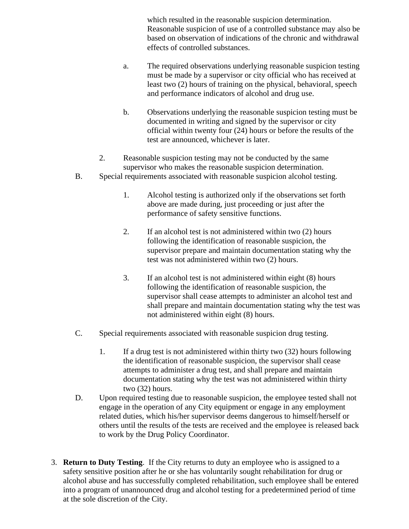which resulted in the reasonable suspicion determination. Reasonable suspicion of use of a controlled substance may also be based on observation of indications of the chronic and withdrawal effects of controlled substances.

- a. The required observations underlying reasonable suspicion testing must be made by a supervisor or city official who has received at least two (2) hours of training on the physical, behavioral, speech and performance indicators of alcohol and drug use.
- b. Observations underlying the reasonable suspicion testing must be documented in writing and signed by the supervisor or city official within twenty four (24) hours or before the results of the test are announced, whichever is later.
- 2. Reasonable suspicion testing may not be conducted by the same supervisor who makes the reasonable suspicion determination.
- B. Special requirements associated with reasonable suspicion alcohol testing.
	- 1. Alcohol testing is authorized only if the observations set forth above are made during, just proceeding or just after the performance of safety sensitive functions.
	- 2. If an alcohol test is not administered within two (2) hours following the identification of reasonable suspicion, the supervisor prepare and maintain documentation stating why the test was not administered within two (2) hours.
	- 3. If an alcohol test is not administered within eight (8) hours following the identification of reasonable suspicion, the supervisor shall cease attempts to administer an alcohol test and shall prepare and maintain documentation stating why the test was not administered within eight (8) hours.
- C. Special requirements associated with reasonable suspicion drug testing.
	- 1. If a drug test is not administered within thirty two (32) hours following the identification of reasonable suspicion, the supervisor shall cease attempts to administer a drug test, and shall prepare and maintain documentation stating why the test was not administered within thirty two (32) hours.
- D. Upon required testing due to reasonable suspicion, the employee tested shall not engage in the operation of any City equipment or engage in any employment related duties, which his/her supervisor deems dangerous to himself/herself or others until the results of the tests are received and the employee is released back to work by the Drug Policy Coordinator.
- 3. **Return to Duty Testing**. If the City returns to duty an employee who is assigned to a safety sensitive position after he or she has voluntarily sought rehabilitation for drug or alcohol abuse and has successfully completed rehabilitation, such employee shall be entered into a program of unannounced drug and alcohol testing for a predetermined period of time at the sole discretion of the City.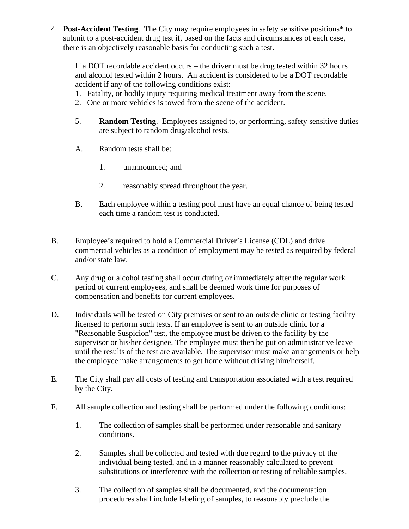4. **Post-Accident Testing**. The City may require employees in safety sensitive positions\* to submit to a post-accident drug test if, based on the facts and circumstances of each case, there is an objectively reasonable basis for conducting such a test.

If a DOT recordable accident occurs – the driver must be drug tested within 32 hours and alcohol tested within 2 hours. An accident is considered to be a DOT recordable accident if any of the following conditions exist:

- 1. Fatality, or bodily injury requiring medical treatment away from the scene.
- 2. One or more vehicles is towed from the scene of the accident.
- 5. **Random Testing**. Employees assigned to, or performing, safety sensitive duties are subject to random drug/alcohol tests.
- A. Random tests shall be:
	- 1. unannounced; and
	- 2. reasonably spread throughout the year.
- B. Each employee within a testing pool must have an equal chance of being tested each time a random test is conducted.
- B. Employee's required to hold a Commercial Driver's License (CDL) and drive commercial vehicles as a condition of employment may be tested as required by federal and/or state law.
- C. Any drug or alcohol testing shall occur during or immediately after the regular work period of current employees, and shall be deemed work time for purposes of compensation and benefits for current employees.
- D. Individuals will be tested on City premises or sent to an outside clinic or testing facility licensed to perform such tests. If an employee is sent to an outside clinic for a "Reasonable Suspicion" test, the employee must be driven to the facility by the supervisor or his/her designee. The employee must then be put on administrative leave until the results of the test are available. The supervisor must make arrangements or help the employee make arrangements to get home without driving him/herself.
- E. The City shall pay all costs of testing and transportation associated with a test required by the City.
- F. All sample collection and testing shall be performed under the following conditions:
	- 1. The collection of samples shall be performed under reasonable and sanitary conditions.
	- 2. Samples shall be collected and tested with due regard to the privacy of the individual being tested, and in a manner reasonably calculated to prevent substitutions or interference with the collection or testing of reliable samples.
	- 3. The collection of samples shall be documented, and the documentation procedures shall include labeling of samples, to reasonably preclude the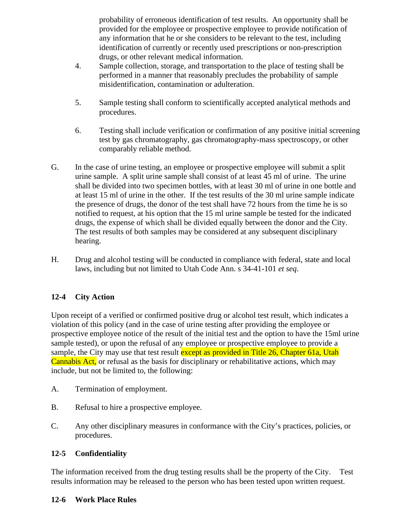probability of erroneous identification of test results. An opportunity shall be provided for the employee or prospective employee to provide notification of any information that he or she considers to be relevant to the test, including identification of currently or recently used prescriptions or non-prescription drugs, or other relevant medical information.

- 4. Sample collection, storage, and transportation to the place of testing shall be performed in a manner that reasonably precludes the probability of sample misidentification, contamination or adulteration.
- 5. Sample testing shall conform to scientifically accepted analytical methods and procedures.
- 6. Testing shall include verification or confirmation of any positive initial screening test by gas chromatography, gas chromatography-mass spectroscopy, or other comparably reliable method.
- G. In the case of urine testing, an employee or prospective employee will submit a split urine sample. A split urine sample shall consist of at least 45 ml of urine. The urine shall be divided into two specimen bottles, with at least 30 ml of urine in one bottle and at least 15 ml of urine in the other. If the test results of the 30 ml urine sample indicate the presence of drugs, the donor of the test shall have 72 hours from the time he is so notified to request, at his option that the 15 ml urine sample be tested for the indicated drugs, the expense of which shall be divided equally between the donor and the City. The test results of both samples may be considered at any subsequent disciplinary hearing.
- H. Drug and alcohol testing will be conducted in compliance with federal, state and local laws, including but not limited to Utah Code Ann. s 34-41-101 *et seq*.

## **12-4 City Action**

Upon receipt of a verified or confirmed positive drug or alcohol test result, which indicates a violation of this policy (and in the case of urine testing after providing the employee or prospective employee notice of the result of the initial test and the option to have the 15ml urine sample tested), or upon the refusal of any employee or prospective employee to provide a sample, the City may use that test result except as provided in Title 26, Chapter 61a, Utah Cannabis Act, or refusal as the basis for disciplinary or rehabilitative actions, which may include, but not be limited to, the following:

- A. Termination of employment.
- B. Refusal to hire a prospective employee.
- C. Any other disciplinary measures in conformance with the City's practices, policies, or procedures.

## **12-5 Confidentiality**

The information received from the drug testing results shall be the property of the City. Test results information may be released to the person who has been tested upon written request.

## **12-6 Work Place Rules**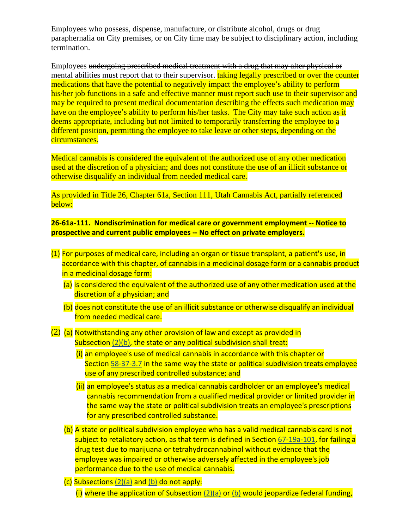Employees who possess, dispense, manufacture, or distribute alcohol, drugs or drug paraphernalia on City premises, or on City time may be subject to disciplinary action, including termination.

Employees undergoing prescribed medical treatment with a drug that may alter physical or mental abilities must report that to their supervisor. taking legally prescribed or over the counter medications that have the potential to negatively impact the employee's ability to perform his/her job functions in a safe and effective manner must report such use to their supervisor and may be required to present medical documentation describing the effects such medication may have on the employee's ability to perform his/her tasks. The City may take such action as it deems appropriate, including but not limited to temporarily transferring the employee to a different position, permitting the employee to take leave or other steps, depending on the circumstances.

Medical cannabis is considered the equivalent of the authorized use of any other medication used at the discretion of a physician; and does not constitute the use of an illicit substance or otherwise disqualify an individual from needed medical care.

As provided in Title 26, Chapter 61a, Section 111, Utah Cannabis Act, partially referenced below:

**26-61a-111. Nondiscrimination for medical care or government employment -- Notice to prospective and current public employees -- No effect on private employers.**

- (1) For purposes of medical care, including an organ or tissue transplant, a patient's use, in accordance with this chapter, of cannabis in a medicinal dosage form or a cannabis product in a medicinal dosage form:
	- (a) is considered the equivalent of the authorized use of any other medication used at the discretion of a physician; and
	- (b) does not constitute the use of an illicit substance or otherwise disqualify an individual from needed medical care.

(2) (a) Notwithstanding any other provision of law and except as provided in Subsection [\(2\)\(b\),](https://le.utah.gov/xcode/Title26/Chapter61A/26-61a-S111.html?v=C26-61a-S111_2022032320220323#26-61a-111(2)(b)) the state or any political subdivision shall treat:

- (i) an employee's use of medical cannabis in accordance with this chapter or Section [58-37-3.7](https://le.utah.gov/xcode/Title58/Chapter37/58-37-S3.7.html?v=C58-37-S3.7_2021031720210317) in the same way the state or political subdivision treats employee use of any prescribed controlled substance; and
- (ii) an employee's status as a medical cannabis cardholder or an employee's medical cannabis recommendation from a qualified medical provider or limited provider in the same way the state or political subdivision treats an employee's prescriptions for any prescribed controlled substance.
- (b) A state or political subdivision employee who has a valid medical cannabis card is not subject to retaliatory action, as that term is defined in Section [67-19a-101,](https://le.utah.gov/xcode/Title67/Chapter19A/67-19a-S101.html?v=C67-19a-S101_2022050420220504) for failing a drug test due to marijuana or tetrahydrocannabinol without evidence that the employee was impaired or otherwise adversely affected in the employee's job performance due to the use of medical cannabis.

(c) Subsections [\(2\)\(a\)](https://le.utah.gov/xcode/Title26/Chapter61A/26-61a-S111.html?v=C26-61a-S111_2022032320220323#26-61a-111(2)(a)) and [\(b\)](https://le.utah.gov/xcode/Title26/Chapter61A/26-61a-S111.html?v=C26-61a-S111_2022032320220323#26-61a-111(2)(b)) do not apply: (i) where the application of Subsection  $(2)(a)$  or  $(b)$  would jeopardize federal funding,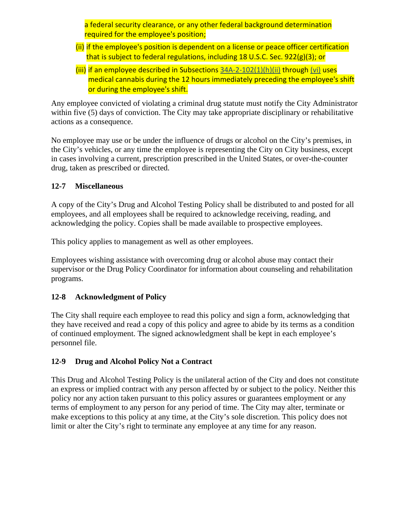a federal security clearance, or any other federal background determination required for the employee's position;

- (ii) if the employee's position is dependent on a license or peace officer certification that is subject to federal regulations, including 18 U.S.C. Sec. 922(g)(3); or
- (iii) if an employee described in Subsections [34A-2-102\(1\)\(h\)\(ii\)](https://le.utah.gov/xcode/Title34A/Chapter2/34A-2-S102.html?v=C34A-2-S102_2019051420190514#34A-2-102(1)(h)(ii)) through [\(vi\)](https://le.utah.gov/xcode/Title34A/Chapter2/34A-2-S102.html?v=C34A-2-S102_2019051420190514#34A-2-102(1)(h)(vi)) uses medical cannabis during the 12 hours immediately preceding the employee's shift or during the employee's shift.

Any employee convicted of violating a criminal drug statute must notify the City Administrator within five (5) days of conviction. The City may take appropriate disciplinary or rehabilitative actions as a consequence.

No employee may use or be under the influence of drugs or alcohol on the City's premises, in the City's vehicles, or any time the employee is representing the City on City business, except in cases involving a current, prescription prescribed in the United States, or over-the-counter drug, taken as prescribed or directed.

## **12-7 Miscellaneous**

A copy of the City's Drug and Alcohol Testing Policy shall be distributed to and posted for all employees, and all employees shall be required to acknowledge receiving, reading, and acknowledging the policy. Copies shall be made available to prospective employees.

This policy applies to management as well as other employees.

Employees wishing assistance with overcoming drug or alcohol abuse may contact their supervisor or the Drug Policy Coordinator for information about counseling and rehabilitation programs.

## **12-8 Acknowledgment of Policy**

The City shall require each employee to read this policy and sign a form, acknowledging that they have received and read a copy of this policy and agree to abide by its terms as a condition of continued employment. The signed acknowledgment shall be kept in each employee's personnel file.

## **12-9 Drug and Alcohol Policy Not a Contract**

This Drug and Alcohol Testing Policy is the unilateral action of the City and does not constitute an express or implied contract with any person affected by or subject to the policy. Neither this policy nor any action taken pursuant to this policy assures or guarantees employment or any terms of employment to any person for any period of time. The City may alter, terminate or make exceptions to this policy at any time, at the City's sole discretion. This policy does not limit or alter the City's right to terminate any employee at any time for any reason.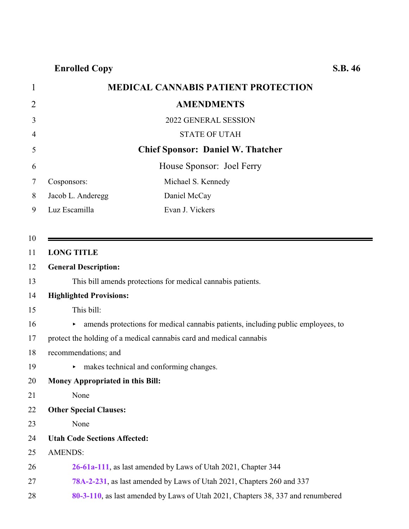**Enrolled Copy S.B. 46**

<span id="page-20-0"></span>

| <b>Elifoned Copy</b>                       | 5.D. |
|--------------------------------------------|------|
| <b>MEDICAL CANNABIS PATIENT PROTECTION</b> |      |

|                                                                                        | <b>AMENDMENTS</b>                                                               |
|----------------------------------------------------------------------------------------|---------------------------------------------------------------------------------|
|                                                                                        | 2022 GENERAL SESSION                                                            |
|                                                                                        | <b>STATE OF UTAH</b>                                                            |
|                                                                                        | <b>Chief Sponsor: Daniel W. Thatcher</b>                                        |
|                                                                                        | House Sponsor: Joel Ferry                                                       |
| Cosponsors:                                                                            | Michael S. Kennedy                                                              |
| Jacob L. Anderegg                                                                      | Daniel McCay                                                                    |
| Luz Escamilla                                                                          | Evan J. Vickers                                                                 |
|                                                                                        |                                                                                 |
| <b>LONG TITLE</b>                                                                      |                                                                                 |
| <b>General Description:</b>                                                            |                                                                                 |
|                                                                                        | This bill amends protections for medical cannabis patients.                     |
| <b>Highlighted Provisions:</b>                                                         |                                                                                 |
| This bill:                                                                             |                                                                                 |
| amends protections for medical cannabis patients, including public employees, to<br>▶. |                                                                                 |
|                                                                                        | protect the holding of a medical cannabis card and medical cannabis             |
| recommendations; and                                                                   |                                                                                 |
| ▶.                                                                                     | makes technical and conforming changes.                                         |
| Money Appropriated in this Bill:                                                       |                                                                                 |
| None                                                                                   |                                                                                 |
| <b>Other Special Clauses:</b>                                                          |                                                                                 |
| None                                                                                   |                                                                                 |
| <b>Utah Code Sections Affected:</b>                                                    |                                                                                 |
| <b>AMENDS:</b>                                                                         |                                                                                 |
|                                                                                        | 26-61a-111, as last amended by Laws of Utah 2021, Chapter 344                   |
|                                                                                        | 78A-2-231, as last amended by Laws of Utah 2021, Chapters 260 and 337           |
|                                                                                        | 80-3-110, as last amended by Laws of Utah 2021, Chapters 38, 337 and renumbered |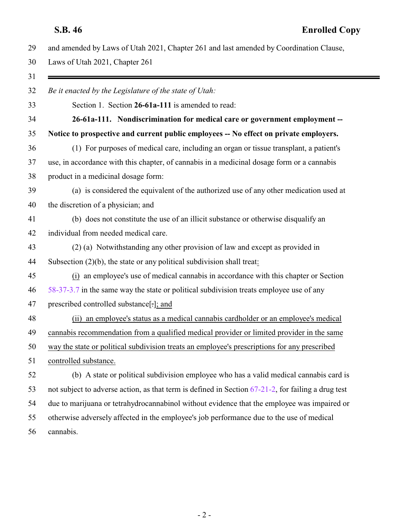|  |  | 29 and amended by Laws of Utah 2021, Chapter 261 and last amended by Coordination Clause, |
|--|--|-------------------------------------------------------------------------------------------|
|--|--|-------------------------------------------------------------------------------------------|

Laws of Utah 2021, Chapter 261

| Be it enacted by the Legislature of the state of Utah:                                                |
|-------------------------------------------------------------------------------------------------------|
| Section 1. Section 26-61a-111 is amended to read:                                                     |
| 26-61a-111. Nondiscrimination for medical care or government employment --                            |
| Notice to prospective and current public employees -- No effect on private employers.                 |
| (1) For purposes of medical care, including an organ or tissue transplant, a patient's                |
| use, in accordance with this chapter, of cannabis in a medicinal dosage form or a cannabis            |
| product in a medicinal dosage form:                                                                   |
| (a) is considered the equivalent of the authorized use of any other medication used at                |
| the discretion of a physician; and                                                                    |
| (b) does not constitute the use of an illicit substance or otherwise disqualify an                    |
| individual from needed medical care.                                                                  |
| (2) (a) Notwithstanding any other provision of law and except as provided in                          |
| Subsection $(2)(b)$ , the state or any political subdivision shall treat:                             |
| (i) an employee's use of medical cannabis in accordance with this chapter or Section                  |
| 58-37-3.7 in the same way the state or political subdivision treats employee use of any               |
| prescribed controlled substance[-]; and                                                               |
| (ii) an employee's status as a medical cannabis cardholder or an employee's medical                   |
| cannabis recommendation from a qualified medical provider or limited provider in the same             |
| way the state or political subdivision treats an employee's prescriptions for any prescribed          |
| controlled substance.                                                                                 |
| (b) A state or political subdivision employee who has a valid medical cannabis card is                |
| not subject to adverse action, as that term is defined in Section $67-21-2$ , for failing a drug test |
| due to marijuana or tetrahydrocannabinol without evidence that the employee was impaired or           |
| otherwise adversely affected in the employee's job performance due to the use of medical              |
| cannabis.                                                                                             |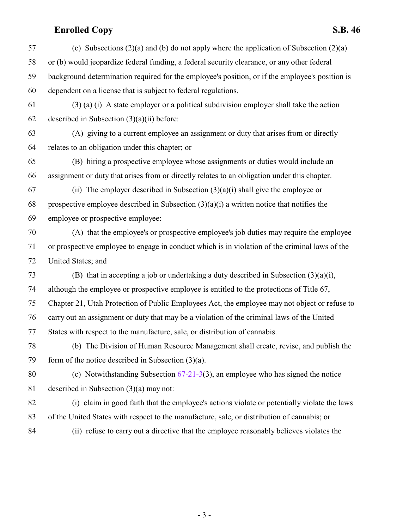## **Enrolled Copy S.B. 46**

 (c) Subsections (2)(a) and (b) do not apply where the application of Subsection (2)(a) or (b) would jeopardize federal funding, a federal security clearance, or any other federal background determination required for the employee's position, or if the employee's position is dependent on a license that is subject to federal regulations. (3) (a) (i) A state employer or a political subdivision employer shall take the action 62 described in Subsection  $(3)(a)(ii)$  before: (A) giving to a current employee an assignment or duty that arises from or directly relates to an obligation under this chapter; or (B) hiring a prospective employee whose assignments or duties would include an assignment or duty that arises from or directly relates to an obligation under this chapter. 67 (ii) The employer described in Subsection  $(3)(a)(i)$  shall give the employee or 68 prospective employee described in Subsection  $(3)(a)(i)$  a written notice that notifies the employee or prospective employee: (A) that the employee's or prospective employee's job duties may require the employee or prospective employee to engage in conduct which is in violation of the criminal laws of the United States; and (B) that in accepting a job or undertaking a duty described in Subsection (3)(a)(i), although the employee or prospective employee is entitled to the protections of Title 67, Chapter 21, Utah Protection of Public Employees Act, the employee may not object or refuse to carry out an assignment or duty that may be a violation of the criminal laws of the United States with respect to the manufacture, sale, or distribution of cannabis. (b) The Division of Human Resource Management shall create, revise, and publish the 79 form of the notice described in Subsection  $(3)(a)$ . (c) Notwithstanding Subsection 67-21-3(3), an employee who has signed the notice described in Subsection (3)(a) may not: (i) claim in good faith that the employee's actions violate or potentially violate the laws of the United States with respect to the manufacture, sale, or distribution of cannabis; or (ii) refuse to carry out a directive that the employee reasonably believes violates the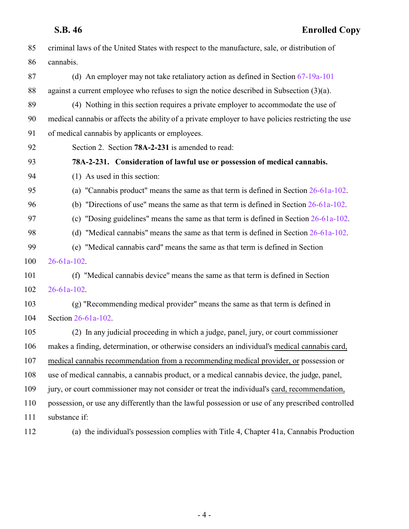| 85  | criminal laws of the United States with respect to the manufacture, sale, or distribution of       |
|-----|----------------------------------------------------------------------------------------------------|
| 86  | cannabis.                                                                                          |
| 87  | (d) An employer may not take retaliatory action as defined in Section $67-19a-101$                 |
| 88  | against a current employee who refuses to sign the notice described in Subsection $(3)(a)$ .       |
| 89  | (4) Nothing in this section requires a private employer to accommodate the use of                  |
| 90  | medical cannabis or affects the ability of a private employer to have policies restricting the use |
| 91  | of medical cannabis by applicants or employees.                                                    |
| 92  | Section 2. Section 78A-2-231 is amended to read:                                                   |
| 93  | 78A-2-231. Consideration of lawful use or possession of medical cannabis.                          |
| 94  | (1) As used in this section:                                                                       |
| 95  | (a) "Cannabis product" means the same as that term is defined in Section $26-61a-102$ .            |
| 96  | (b) "Directions of use" means the same as that term is defined in Section $26-61a-102$ .           |
| 97  | (c) "Dosing guidelines" means the same as that term is defined in Section $26-61a-102$ .           |
| 98  | (d) "Medical cannabis" means the same as that term is defined in Section $26-61a-102$ .            |
| 99  | (e) "Medical cannabis card" means the same as that term is defined in Section                      |
| 100 | $26 - 61a - 102$ .                                                                                 |
| 101 | (f) "Medical cannabis device" means the same as that term is defined in Section                    |
| 102 | $26 - 61a - 102$ .                                                                                 |
| 103 | (g) "Recommending medical provider" means the same as that term is defined in                      |
| 104 | Section 26-61a-102.                                                                                |
| 105 | (2) In any judicial proceeding in which a judge, panel, jury, or court commissioner                |
| 106 | makes a finding, determination, or otherwise considers an individual's medical cannabis card,      |
| 107 | medical cannabis recommendation from a recommending medical provider, or possession or             |
| 108 | use of medical cannabis, a cannabis product, or a medical cannabis device, the judge, panel,       |
| 109 | jury, or court commissioner may not consider or treat the individual's card, recommendation,       |
| 110 | possession, or use any differently than the lawful possession or use of any prescribed controlled  |
| 111 | substance if:                                                                                      |
|     |                                                                                                    |

(a) the individual's possession complies with Title 4, Chapter 41a, Cannabis Production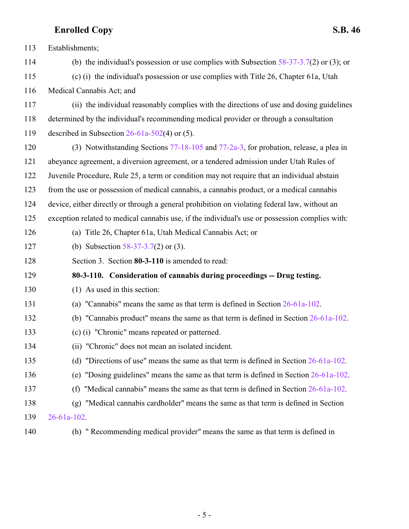# **Enrolled Copy S.B. 46**

| 113 | Establishments;                                                                                 |
|-----|-------------------------------------------------------------------------------------------------|
| 114 | (b) the individual's possession or use complies with Subsection $58-37-3.7(2)$ or (3); or       |
| 115 | (c) (i) the individual's possession or use complies with Title 26, Chapter 61a, Utah            |
| 116 | Medical Cannabis Act; and                                                                       |
| 117 | (ii) the individual reasonably complies with the directions of use and dosing guidelines        |
| 118 | determined by the individual's recommending medical provider or through a consultation          |
| 119 | described in Subsection $26-61a-502(4)$ or (5).                                                 |
| 120 | (3) Notwithstanding Sections $77-18-105$ and $77-2a-3$ , for probation, release, a plea in      |
| 121 | abeyance agreement, a diversion agreement, or a tendered admission under Utah Rules of          |
| 122 | Juvenile Procedure, Rule 25, a term or condition may not require that an individual abstain     |
| 123 | from the use or possession of medical cannabis, a cannabis product, or a medical cannabis       |
| 124 | device, either directly or through a general prohibition on violating federal law, without an   |
| 125 | exception related to medical cannabis use, if the individual's use or possession complies with: |
| 126 | (a) Title 26, Chapter 61a, Utah Medical Cannabis Act; or                                        |
| 127 | (b) Subsection $58-37-3.7(2)$ or (3).                                                           |
| 128 | Section 3. Section 80-3-110 is amended to read:                                                 |
| 129 | 80-3-110. Consideration of cannabis during proceedings -- Drug testing.                         |
| 130 | (1) As used in this section:                                                                    |
| 131 | (a) "Cannabis" means the same as that term is defined in Section $26-61a-102$ .                 |
| 132 | (b) "Cannabis product" means the same as that term is defined in Section $26-61a-102$ .         |
| 133 | (c) (i) "Chronic" means repeated or patterned.                                                  |
| 134 | "Chronic" does not mean an isolated incident.<br>(11)                                           |
| 135 | "Directions of use" means the same as that term is defined in Section 26-61a-102.<br>(d)        |
| 136 | (e) "Dosing guidelines" means the same as that term is defined in Section $26-61a-102$ .        |
| 137 | "Medical cannabis" means the same as that term is defined in Section 26-61a-102.<br>(f)         |
| 138 | "Medical cannabis cardholder" means the same as that term is defined in Section<br>(g)          |
| 139 | $26 - 61a - 102$ .                                                                              |
| 140 | (h) "Recommending medical provider" means the same as that term is defined in                   |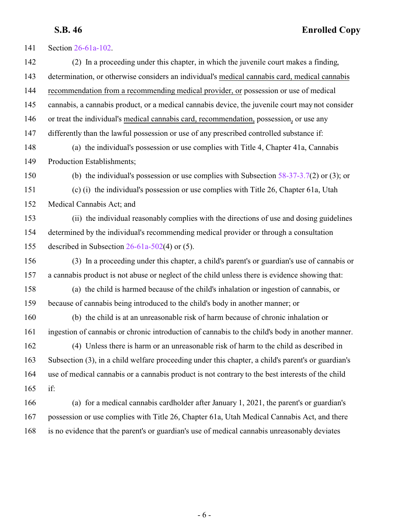Section 26-61a-102. (2) In a proceeding under this chapter, in which the juvenile court makes a finding, determination, or otherwise considers an individual's medical cannabis card, medical cannabis recommendation from a recommending medical provider, or possession or use of medical cannabis, a cannabis product, or a medical cannabis device, the juvenile court may not consider or treat the individual's medical cannabis card, recommendation, possession, or use any differently than the lawful possession or use of any prescribed controlled substance if: (a) the individual's possession or use complies with Title 4, Chapter 41a, Cannabis Production Establishments; (b) the individual's possession or use complies with Subsection 58-37-3.7(2) or (3); or (c) (i) the individual's possession or use complies with Title 26, Chapter 61a, Utah Medical Cannabis Act; and (ii) the individual reasonably complies with the directions of use and dosing guidelines determined by the individual's recommending medical provider or through a consultation described in Subsection 26-61a-502(4) or (5). (3) In a proceeding under this chapter, a child's parent's or guardian's use of cannabis or a cannabis product is not abuse or neglect of the child unless there is evidence showing that: (a) the child is harmed because of the child's inhalation or ingestion of cannabis, or because of cannabis being introduced to the child's body in another manner; or (b) the child is at an unreasonable risk of harm because of chronic inhalation or ingestion of cannabis or chronic introduction of cannabis to the child's body in another manner. (4) Unless there is harm or an unreasonable risk of harm to the child as described in Subsection (3), in a child welfare proceeding under this chapter, a child's parent's or guardian's use of medical cannabis or a cannabis product is not contrary to the best interests of the child if: (a) for a medical cannabis cardholder after January 1, 2021, the parent's or guardian's possession or use complies with Title 26, Chapter 61a, Utah Medical Cannabis Act, and there is no evidence that the parent's or guardian's use of medical cannabis unreasonably deviates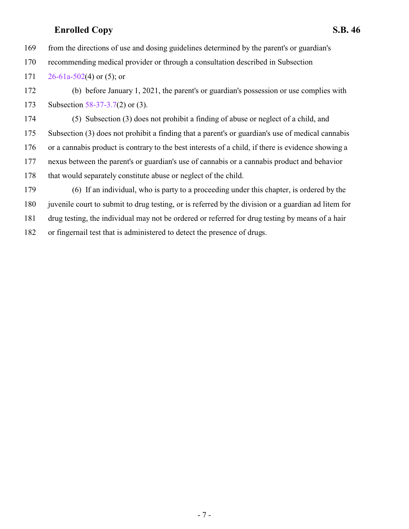## **Enrolled Copy S.B. 46**

from the directions of use and dosing guidelines determined by the parent's or guardian's

- recommending medical provider or through a consultation described in Subsection
- 171  $26-61a-502(4)$  or (5); or

 (b) before January 1, 2021, the parent's or guardian's possession or use complies with Subsection 58-37-3.7(2) or (3).

 (5) Subsection (3) does not prohibit a finding of abuse or neglect of a child, and Subsection (3) does not prohibit a finding that a parent's or guardian's use of medical cannabis or a cannabis product is contrary to the best interests of a child, if there is evidence showing a nexus between the parent's or guardian's use of cannabis or a cannabis product and behavior that would separately constitute abuse or neglect of the child.

 (6) If an individual, who is party to a proceeding under this chapter, is ordered by the juvenile court to submit to drug testing, or is referred by the division or a guardian ad litem for drug testing, the individual may not be ordered or referred for drug testing by means of a hair or fingernail test that is administered to detect the presence of drugs.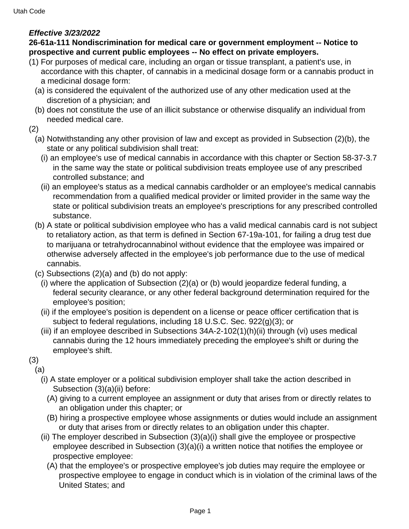## <span id="page-27-0"></span>**Effective 3/23/2022**

## **26-61a-111 Nondiscrimination for medical care or government employment -- Notice to prospective and current public employees -- No effect on private employers.**

- (1) For purposes of medical care, including an organ or tissue transplant, a patient's use, in accordance with this chapter, of cannabis in a medicinal dosage form or a cannabis product in a medicinal dosage form:
	- (a) is considered the equivalent of the authorized use of any other medication used at the discretion of a physician; and
	- (b) does not constitute the use of an illicit substance or otherwise disqualify an individual from needed medical care.
- (2)
	- (a) Notwithstanding any other provision of law and except as provided in Subsection (2)(b), the state or any political subdivision shall treat:
		- (i) an employee's use of medical cannabis in accordance with this chapter or Section 58-37-3.7 in the same way the state or political subdivision treats employee use of any prescribed controlled substance; and
		- (ii) an employee's status as a medical cannabis cardholder or an employee's medical cannabis recommendation from a qualified medical provider or limited provider in the same way the state or political subdivision treats an employee's prescriptions for any prescribed controlled substance.
	- (b) A state or political subdivision employee who has a valid medical cannabis card is not subject to retaliatory action, as that term is defined in Section 67-19a-101, for failing a drug test due to marijuana or tetrahydrocannabinol without evidence that the employee was impaired or otherwise adversely affected in the employee's job performance due to the use of medical cannabis.
	- (c) Subsections (2)(a) and (b) do not apply:
		- (i) where the application of Subsection (2)(a) or (b) would jeopardize federal funding, a federal security clearance, or any other federal background determination required for the employee's position;
		- (ii) if the employee's position is dependent on a license or peace officer certification that is subject to federal regulations, including 18 U.S.C. Sec. 922(g)(3); or
		- (iii) if an employee described in Subsections 34A-2-102(1)(h)(ii) through (vi) uses medical cannabis during the 12 hours immediately preceding the employee's shift or during the employee's shift.
- (3)
- (a)
	- (i) A state employer or a political subdivision employer shall take the action described in Subsection (3)(a)(ii) before:
		- (A) giving to a current employee an assignment or duty that arises from or directly relates to an obligation under this chapter; or
		- (B) hiring a prospective employee whose assignments or duties would include an assignment or duty that arises from or directly relates to an obligation under this chapter.
	- (ii) The employer described in Subsection (3)(a)(i) shall give the employee or prospective employee described in Subsection (3)(a)(i) a written notice that notifies the employee or prospective employee:
		- (A) that the employee's or prospective employee's job duties may require the employee or prospective employee to engage in conduct which is in violation of the criminal laws of the United States; and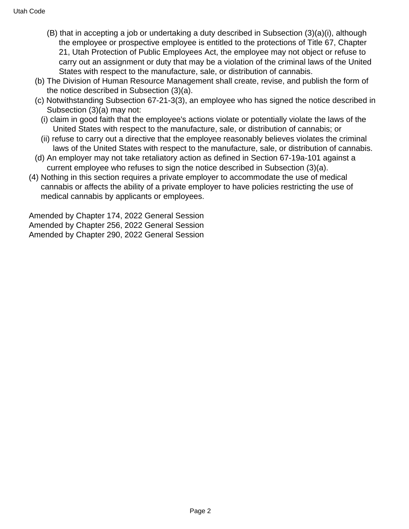- (B) that in accepting a job or undertaking a duty described in Subsection (3)(a)(i), although the employee or prospective employee is entitled to the protections of Title 67, Chapter 21, Utah Protection of Public Employees Act, the employee may not object or refuse to carry out an assignment or duty that may be a violation of the criminal laws of the United States with respect to the manufacture, sale, or distribution of cannabis.
- (b) The Division of Human Resource Management shall create, revise, and publish the form of the notice described in Subsection (3)(a).
- (c) Notwithstanding Subsection 67-21-3(3), an employee who has signed the notice described in Subsection (3)(a) may not:
	- (i) claim in good faith that the employee's actions violate or potentially violate the laws of the United States with respect to the manufacture, sale, or distribution of cannabis; or
	- (ii) refuse to carry out a directive that the employee reasonably believes violates the criminal laws of the United States with respect to the manufacture, sale, or distribution of cannabis.
- (d) An employer may not take retaliatory action as defined in Section 67-19a-101 against a current employee who refuses to sign the notice described in Subsection (3)(a).
- (4) Nothing in this section requires a private employer to accommodate the use of medical cannabis or affects the ability of a private employer to have policies restricting the use of medical cannabis by applicants or employees.

Amended by Chapter 174, 2022 General Session Amended by Chapter 256, 2022 General Session Amended by Chapter 290, 2022 General Session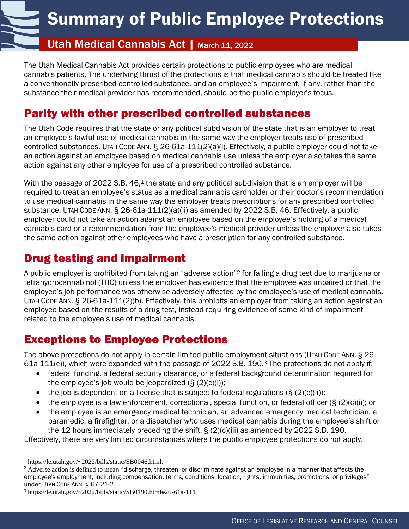# Utah Medical Cannabis Act | March 11, 2022

The Utah Medical Cannabis Act provides certain protections to public employees who are medical cannabis patients. The underlying thrust of the protections is that medical cannabis should be treated like a conventionally prescribed controlled substance, and an employee's impairment, if any, rather than the substance their medical provider has recommended, should be the public employer's focus.

# Parity with other prescribed controlled substances

The Utah Code requires that the state or any political subdivision of the state that is an employer to treat an employee's lawful use of medical cannabis in the same way the employer treats use of prescribed controlled substances. UTAH CODE ANN. § 26-61a-111(2)(a)(i). Effectively, a public employer could not take an action against an employee based on medical cannabis use unless the employer also takes the same action against any other employee for use of a prescribed controlled substance.

With the passage of 2022 S.B. 46, $1$  the state and any political subdivision that is an employer will be required to treat an employee's status as a medical cannabis cardholder or their doctor's recommendation to use medical cannabis in the same way the employer treats prescriptions for any prescribed controlled substance. UTAH CODE ANN. § 26-61a-111(2)(a)(ii) as amended by 2022 S.B. 46. Effectively, a public employer could not take an action against an employee based on the employee's holding of a medical cannabis card or a recommendation from the employee's medical provider unless the employer also takes the same action against other employees who have a prescription for any controlled substance.

# Drug testing and impairment

<span id="page-29-0"></span>N

A public employer is prohibited from taking an "adverse action"<sup>2</sup> for failing a drug test due to marijuana or tetrahydrocannabinol (THC) unless the employer has evidence that the employee was impaired or that the employee's job performance was otherwise adversely affected by the employee's use of medical cannabis. UTAH CODE ANN. § 26-61a-111(2)(b). Effectively, this prohibits an employer from taking an action against an employee based on the results of a drug test, instead requiring evidence of some kind of impairment related to the employee's use of medical cannabis.

# Exceptions to Employee Protections

The above protections do not apply in certain limited public employment situations (UTAH CODE ANN. § 26- 61a-111(c)), which were expanded with the passage of 2022 S.B. 190.<sup>3</sup> The protections do not apply if:

- federal funding, a federal security clearance, or a federal background determination required for the employee's job would be jeopardized  $(S (2)(c)(i))$ ;
- the job is dependent on a license that is subject to federal regulations  $(S(2)(c)(ii))$ ;
- the employee is a law enforcement, correctional, special function, or federal officer (§ (2)(c)(ii); or
- the employee is an emergency medical technician, an advanced emergency medical technician, a paramedic, a firefighter, or a dispatcher *who* uses medical cannabis during the employee's shift or the 12 hours immediately preceding the shift.  $\S$  (2)(c)(iii) as amended by 2022 S.B. 190.

Effectively, there are very limited circumstances where the public employee protections do not apply.

<sup>1</sup> https://le.utah.gov/~2022/bills/static/SB0046.html.

 $<sup>2</sup>$  Adverse action is defined to mean "discharge, threaten, or discriminate against an employee in a manner that affects the</sup> employee's employment, including compensation, terms, conditions, location, rights, immunities, promotions, or privileges" under UTAH CODE ANN. § 67-21-2.

<sup>3</sup> https://le.utah.gov/~2022/bills/static/SB0190.html#26-61a-111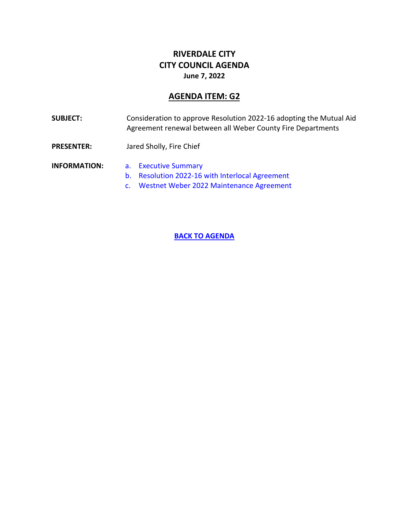## **RIVERDALE CITY CITY COUNCIL AGENDA June 7, 2022**

## **AGENDA ITEM: G2**

<span id="page-30-0"></span>**SUBJECT:** Consideration to approve Resolution 2022-16 adopting the Mutual Aid Agreement renewal between all Weber County Fire Departments

**PRESENTER:** Jared Sholly, Fire Chief

**INFORMATION:** a. [Executive](#page-31-0) Summary

- b. [Resolution 2022-16 with Interlocal Agreement](#page-32-0)
- c. [Westnet Weber 2022 Maintenance Agreement](#page-38-0)

**[BACK TO AGENDA](#page-0-0)**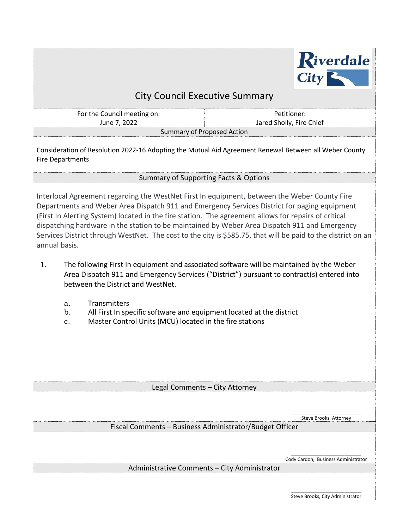

# City Council Executive Summary

<span id="page-31-0"></span>For the Council meeting on: June 7, 2022 Summary of Proposed Action

Petitioner: Jared Sholly, Fire Chief

Consideration of Resolution 2022-16 Adopting the Mutual Aid Agreement Renewal Between all Weber County Fire Departments

## Summary of Supporting Facts & Options

Interlocal Agreement regarding the WestNet First In equipment, between the Weber County Fire Departments and Weber Area Dispatch 911 and Emergency Services District for paging equipment (First In Alerting System) located in the fire station. The agreement allows for repairs of critical dispatching hardware in the station to be maintained by Weber Area Dispatch 911 and Emergency Services District through WestNet. The cost to the city is \$585.75, that will be paid to the district on an annual basis.

- 1. The following First In equipment and associated software will be maintained by the Weber Area Dispatch 911 and Emergency Services ("District") pursuant to contract(s) entered into between the District and WestNet.
	- a. Transmitters
	- b. All First In specific software and equipment located at the district
	- c. Master Control Units (MCU) located in the fire stations

| Legal Comments - City Attorney                          |                                     |  |
|---------------------------------------------------------|-------------------------------------|--|
|                                                         |                                     |  |
|                                                         |                                     |  |
|                                                         | Steve Brooks, Attorney              |  |
| Fiscal Comments - Business Administrator/Budget Officer |                                     |  |
|                                                         |                                     |  |
|                                                         |                                     |  |
|                                                         |                                     |  |
|                                                         | Cody Cardon, Business Administrator |  |
| Administrative Comments - City Administrator            |                                     |  |
|                                                         |                                     |  |
|                                                         |                                     |  |
|                                                         | Steve Brooks, City Administrator    |  |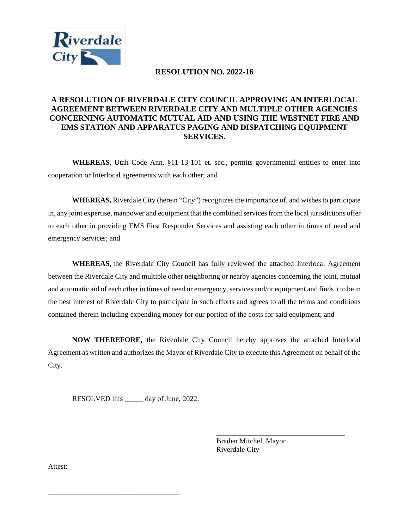<span id="page-32-0"></span>

## **RESOLUTION NO. 2022-16**

## **A RESOLUTION OF RIVERDALE CITY COUNCIL APPROVING AN INTERLOCAL AGREEMENT BETWEEN RIVERDALE CITY AND MULTIPLE OTHER AGENCIES CONCERNING AUTOMATIC MUTUAL AID AND USING THE WESTNET FIRE AND EMS STATION AND APPARATUS PAGING AND DISPATCHING EQUIPMENT SERVICES.**

**WHEREAS,** Utah Code Ann. §11-13-101 et. sec., permits governmental entities to enter into cooperation or Interlocal agreements with each other; and

**WHEREAS,** Riverdale City (herein "City") recognizes the importance of, and wishes to participate in, any joint expertise, manpower and equipment that the combined services from the local jurisdictions offer to each other in providing EMS First Responder Services and assisting each other in times of need and emergency services; and

**WHEREAS,** the Riverdale City Council has fully reviewed the attached Interlocal Agreement between the Riverdale City and multiple other neighboring or nearby agencies concerning the joint, mutual and automatic aid of each other in times of need or emergency, services and/or equipment and finds it to be in the best interest of Riverdale City to participate in such efforts and agrees to all the terms and conditions contained therein including expending money for our portion of the costs for said equipment; and

**NOW THEREFORE,** the Riverdale City Council hereby approves the attached Interlocal Agreement as written and authorizes the Mayor of Riverdale City to execute this Agreement on behalf of the City.

RESOLVED this \_\_\_\_\_ day of June, 2022.

\_\_\_\_\_\_\_\_\_\_\_\_\_\_\_\_\_\_\_\_\_\_\_\_\_\_\_\_\_\_\_\_\_\_\_\_

Braden Mitchel, Mayor Riverdale City

\_\_\_\_\_\_\_\_\_\_\_\_\_\_\_\_\_\_\_\_\_\_\_\_\_\_\_\_\_\_\_\_\_\_\_

Attest: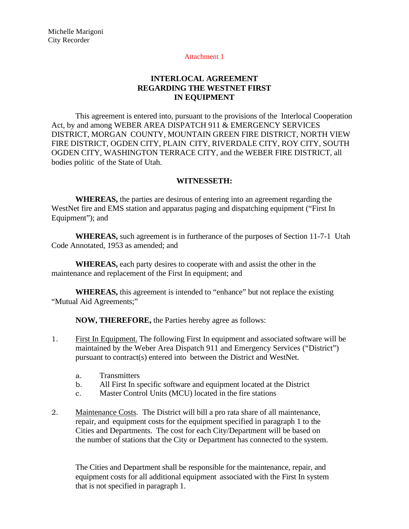### Attachment 1

## **INTERLOCAL AGREEMENT REGARDING THE WESTNET FIRST IN EQUIPMENT**

This agreement is entered into, pursuant to the provisions of the Interlocal Cooperation Act, by and among WEBER AREA DISPATCH 911 & EMERGENCY SERVICES DISTRICT, MORGAN COUNTY, MOUNTAIN GREEN FIRE DISTRICT, NORTH VIEW FIRE DISTRICT, OGDEN CITY, PLAIN CITY, RIVERDALE CITY, ROY CITY, SOUTH OGDEN CITY, WASHINGTON TERRACE CITY, and the WEBER FIRE DISTRICT, all bodies politic of the State of Utah.

### **WITNESSETH:**

**WHEREAS,** the parties are desirous of entering into an agreement regarding the WestNet fire and EMS station and apparatus paging and dispatching equipment ("First In Equipment"); and

**WHEREAS,** such agreement is in furtherance of the purposes of Section 11-7-1 Utah Code Annotated, 1953 as amended; and

**WHEREAS,** each party desires to cooperate with and assist the other in the maintenance and replacement of the First In equipment; and

**WHEREAS,** this agreement is intended to "enhance" but not replace the existing "Mutual Aid Agreements;"

**NOW, THEREFORE,** the Parties hereby agree as follows:

- 1. First In Equipment. The following First In equipment and associated software will be maintained by the Weber Area Dispatch 911 and Emergency Services ("District") pursuant to contract(s) entered into between the District and WestNet.
	- a. Transmitters
	- b. All First In specific software and equipment located at the District
	- c. Master Control Units (MCU) located in the fire stations
- 2. Maintenance Costs. The District will bill a pro rata share of all maintenance, repair, and equipment costs for the equipment specified in paragraph 1 to the Cities and Departments. The cost for each City/Department will be based on the number of stations that the City or Department has connected to the system.

The Cities and Department shall be responsible for the maintenance, repair, and equipment costs for all additional equipment associated with the First In system that is not specified in paragraph 1.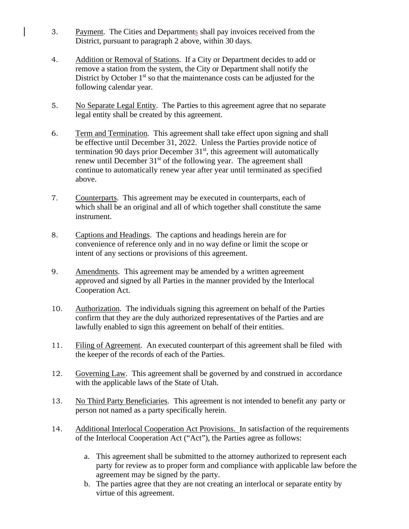- 3. Payment. The Cities and Departments shall pay invoices received from the District, pursuant to paragraph 2 above, within 30 days.
- 4. Addition or Removal of Stations. If a City or Department decides to add or remove a station from the system, the City or Department shall notify the District by October  $1<sup>st</sup>$  so that the maintenance costs can be adjusted for the following calendar year.
- 5. No Separate Legal Entity. The Parties to this agreement agree that no separate legal entity shall be created by this agreement.
- 6. Term and Termination. This agreement shall take effect upon signing and shall be effective until December 31, 2022. Unless the Parties provide notice of termination 90 days prior December  $31<sup>st</sup>$ , this agreement will automatically renew until December  $31<sup>st</sup>$  of the following year. The agreement shall continue to automatically renew year after year until terminated as specified above.
- 7. Counterparts. This agreement may be executed in counterparts, each of which shall be an original and all of which together shall constitute the same instrument.
- 8. Captions and Headings. The captions and headings herein are for convenience of reference only and in no way define or limit the scope or intent of any sections or provisions of this agreement.
- 9. Amendments. This agreement may be amended by a written agreement approved and signed by all Parties in the manner provided by the Interlocal Cooperation Act.
- 10. Authorization. The individuals signing this agreement on behalf of the Parties confirm that they are the duly authorized representatives of the Parties and are lawfully enabled to sign this agreement on behalf of their entities.
- 11. Filing of Agreement. An executed counterpart of this agreement shall be filed with the keeper of the records of each of the Parties.
- 12. Governing Law. This agreement shall be governed by and construed in accordance with the applicable laws of the State of Utah.
- 13. No Third Party Beneficiaries. This agreement is not intended to benefit any party or person not named as a party specifically herein.
- 14. Additional Interlocal Cooperation Act Provisions. In satisfaction of the requirements of the Interlocal Cooperation Act ("Act"), the Parties agree as follows:
	- a. This agreement shall be submitted to the attorney authorized to represent each party for review as to proper form and compliance with applicable law before the agreement may be signed by the party.
	- b. The parties agree that they are not creating an interlocal or separate entity by virtue of this agreement.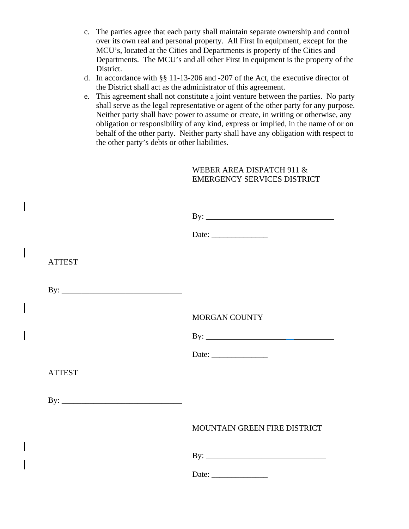- c. The parties agree that each party shall maintain separate ownership and control over its own real and personal property. All First In equipment, except for the MCU's, located at the Cities and Departments is property of the Cities and Departments. The MCU's and all other First In equipment is the property of the District.
- d. In accordance with §§ 11-13-206 and -207 of the Act, the executive director of the District shall act as the administrator of this agreement.
- e. This agreement shall not constitute a joint venture between the parties. No party shall serve as the legal representative or agent of the other party for any purpose. Neither party shall have power to assume or create, in writing or otherwise, any obligation or responsibility of any kind, express or implied, in the name of or on behalf of the other party. Neither party shall have any obligation with respect to the other party's debts or other liabilities.

## WEBER AREA DISPATCH 911 & EMERGENCY SERVICES DISTRICT

|               | Date: $\frac{1}{\sqrt{1-\frac{1}{2}}\sqrt{1-\frac{1}{2}}\sqrt{1-\frac{1}{2}}\sqrt{1-\frac{1}{2}}\sqrt{1-\frac{1}{2}}\sqrt{1-\frac{1}{2}}\sqrt{1-\frac{1}{2}}\sqrt{1-\frac{1}{2}}\sqrt{1-\frac{1}{2}}\sqrt{1-\frac{1}{2}}\sqrt{1-\frac{1}{2}}\sqrt{1-\frac{1}{2}}\sqrt{1-\frac{1}{2}}\sqrt{1-\frac{1}{2}}\sqrt{1-\frac{1}{2}}\sqrt{1-\frac{1}{2}}\sqrt{1-\frac{1}{2}}\sqrt{1-\frac{1}{2}}\sqrt{1-\frac{1}{2}}$ |
|---------------|---------------------------------------------------------------------------------------------------------------------------------------------------------------------------------------------------------------------------------------------------------------------------------------------------------------------------------------------------------------------------------------------------------------|
| <b>ATTEST</b> |                                                                                                                                                                                                                                                                                                                                                                                                               |
|               |                                                                                                                                                                                                                                                                                                                                                                                                               |
|               | <b>MORGAN COUNTY</b>                                                                                                                                                                                                                                                                                                                                                                                          |
|               |                                                                                                                                                                                                                                                                                                                                                                                                               |
|               |                                                                                                                                                                                                                                                                                                                                                                                                               |
| <b>ATTEST</b> |                                                                                                                                                                                                                                                                                                                                                                                                               |
|               |                                                                                                                                                                                                                                                                                                                                                                                                               |
|               | MOUNTAIN GREEN FIRE DISTRICT                                                                                                                                                                                                                                                                                                                                                                                  |
|               |                                                                                                                                                                                                                                                                                                                                                                                                               |
|               | Date: $\frac{1}{\sqrt{1-\frac{1}{2}} \cdot \frac{1}{2}}$                                                                                                                                                                                                                                                                                                                                                      |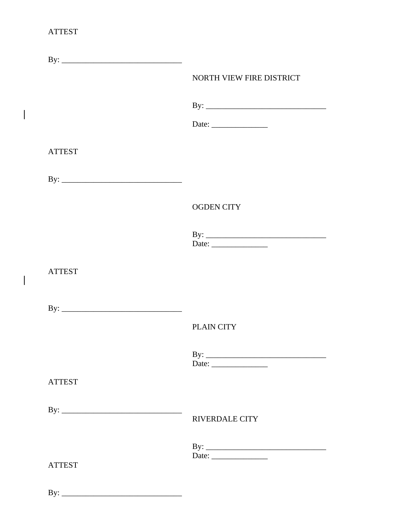## **ATTEST**

 $\begin{array}{c} \hline \end{array}$ 

 $\begin{array}{c} \rule{0pt}{2.5ex} \rule{0pt}{2.5ex} \rule{0pt}{2.5ex} \rule{0pt}{2.5ex} \rule{0pt}{2.5ex} \rule{0pt}{2.5ex} \rule{0pt}{2.5ex} \rule{0pt}{2.5ex} \rule{0pt}{2.5ex} \rule{0pt}{2.5ex} \rule{0pt}{2.5ex} \rule{0pt}{2.5ex} \rule{0pt}{2.5ex} \rule{0pt}{2.5ex} \rule{0pt}{2.5ex} \rule{0pt}{2.5ex} \rule{0pt}{2.5ex} \rule{0pt}{2.5ex} \rule{0pt}{2.5ex} \rule{0$ 

|               | NORTH VIEW FIRE DISTRICT                                                                                                                                                                                                                                                                                                                                                                                      |
|---------------|---------------------------------------------------------------------------------------------------------------------------------------------------------------------------------------------------------------------------------------------------------------------------------------------------------------------------------------------------------------------------------------------------------------|
|               |                                                                                                                                                                                                                                                                                                                                                                                                               |
|               | Date: $\frac{1}{\sqrt{1-\frac{1}{2}}\sqrt{1-\frac{1}{2}}\sqrt{1-\frac{1}{2}}\sqrt{1-\frac{1}{2}}\sqrt{1-\frac{1}{2}}\sqrt{1-\frac{1}{2}}\sqrt{1-\frac{1}{2}}\sqrt{1-\frac{1}{2}}\sqrt{1-\frac{1}{2}}\sqrt{1-\frac{1}{2}}\sqrt{1-\frac{1}{2}}\sqrt{1-\frac{1}{2}}\sqrt{1-\frac{1}{2}}\sqrt{1-\frac{1}{2}}\sqrt{1-\frac{1}{2}}\sqrt{1-\frac{1}{2}}\sqrt{1-\frac{1}{2}}\sqrt{1-\frac{1}{2}}\sqrt{1-\frac{1}{2}}$ |
| <b>ATTEST</b> |                                                                                                                                                                                                                                                                                                                                                                                                               |
|               |                                                                                                                                                                                                                                                                                                                                                                                                               |
|               | <b>OGDEN CITY</b>                                                                                                                                                                                                                                                                                                                                                                                             |
|               |                                                                                                                                                                                                                                                                                                                                                                                                               |
| <b>ATTEST</b> |                                                                                                                                                                                                                                                                                                                                                                                                               |
|               |                                                                                                                                                                                                                                                                                                                                                                                                               |
|               | PLAIN CITY                                                                                                                                                                                                                                                                                                                                                                                                    |
|               | $\mathbf{B} \mathbf{y}$ :<br>Date: $\frac{1}{\sqrt{1-\frac{1}{2}}\cdot\frac{1}{2}}$                                                                                                                                                                                                                                                                                                                           |
| <b>ATTEST</b> |                                                                                                                                                                                                                                                                                                                                                                                                               |
|               | <b>RIVERDALE CITY</b>                                                                                                                                                                                                                                                                                                                                                                                         |
| <b>ATTEST</b> | By: $\overline{\phantom{a}}$<br>Date: $\qquad \qquad$                                                                                                                                                                                                                                                                                                                                                         |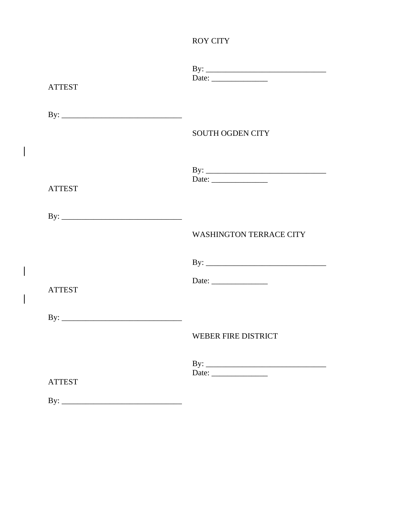## **ROY CITY**

| <b>ATTEST</b> |                                |
|---------------|--------------------------------|
|               | <b>SOUTH OGDEN CITY</b>        |
| <b>ATTEST</b> |                                |
|               | <b>WASHINGTON TERRACE CITY</b> |
| <b>ATTEST</b> | Date:                          |
|               | <b>WEBER FIRE DISTRICT</b>     |
| <b>ATTEST</b> | Date: $\_\_$                   |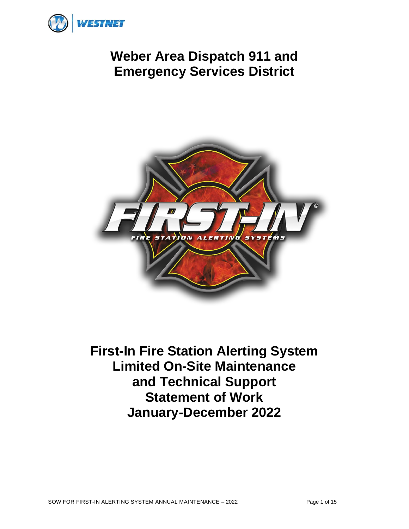<span id="page-38-0"></span>

# **Weber Area Dispatch 911 and Emergency Services District**



**First-In Fire Station Alerting System Limited On-Site Maintenance and Technical Support Statement of Work January-December 2022**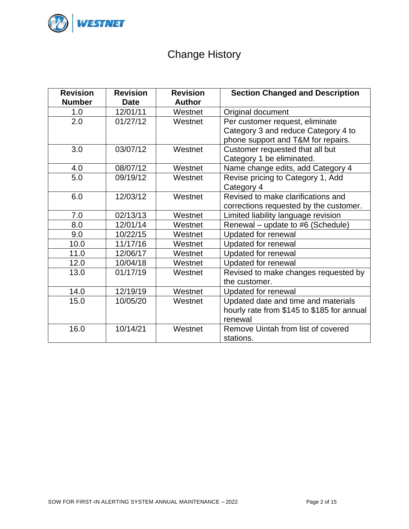

# Change History

| <b>Revision</b><br><b>Number</b> | <b>Revision</b><br><b>Date</b> | <b>Revision</b><br><b>Author</b> | <b>Section Changed and Description</b>     |
|----------------------------------|--------------------------------|----------------------------------|--------------------------------------------|
| 1.0                              | 12/01/11                       | Westnet                          | Original document                          |
| 2.0                              | 01/27/12                       | Westnet                          | Per customer request, eliminate            |
|                                  |                                |                                  | Category 3 and reduce Category 4 to        |
|                                  |                                |                                  | phone support and T&M for repairs.         |
| 3.0                              | 03/07/12                       | Westnet                          | Customer requested that all but            |
|                                  |                                |                                  | Category 1 be eliminated.                  |
| 4.0                              | 08/07/12                       | Westnet                          | Name change edits, add Category 4          |
| 5.0                              | 09/19/12                       | Westnet                          | Revise pricing to Category 1, Add          |
|                                  |                                |                                  | Category 4                                 |
| 6.0                              | 12/03/12                       | Westnet                          | Revised to make clarifications and         |
|                                  |                                |                                  | corrections requested by the customer.     |
| 7.0                              | 02/13/13                       | Westnet                          | Limited liability language revision        |
| 0.8                              | 12/01/14                       | Westnet                          | Renewal – update to #6 (Schedule)          |
| 9.0                              | 10/22/15                       | Westnet                          | Updated for renewal                        |
| 10.0                             | 11/17/16                       | Westnet                          | Updated for renewal                        |
| 11.0                             | 12/06/17                       | Westnet                          | <b>Updated for renewal</b>                 |
| 12.0                             | 10/04/18                       | Westnet                          | Updated for renewal                        |
| 13.0                             | 01/17/19                       | Westnet                          | Revised to make changes requested by       |
|                                  |                                |                                  | the customer.                              |
| 14.0                             | 12/19/19                       | Westnet                          | Updated for renewal                        |
| 15.0                             | 10/05/20                       | Westnet                          | Updated date and time and materials        |
|                                  |                                |                                  | hourly rate from \$145 to \$185 for annual |
|                                  |                                |                                  | renewal                                    |
| 16.0                             | 10/14/21                       | Westnet                          | Remove Uintah from list of covered         |
|                                  |                                |                                  | stations.                                  |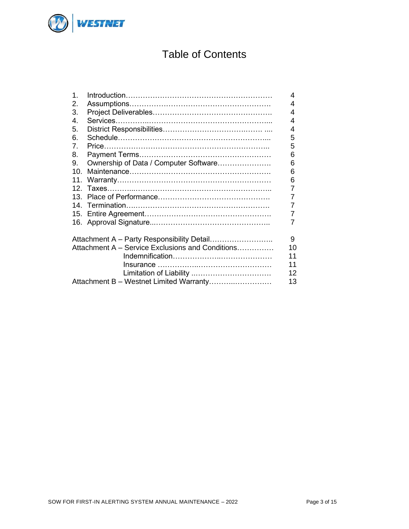

# Table of Contents

| $\mathbf 1$ . |                                                  | 4  |
|---------------|--------------------------------------------------|----|
| 2.            |                                                  | 4  |
| 3.            |                                                  | 4  |
| 4.            |                                                  | 4  |
| 5.            |                                                  | 4  |
| 6.            |                                                  | 5  |
| 7.            |                                                  | 5  |
| 8.            |                                                  | 6  |
| 9.            | Ownership of Data / Computer Software            | 6  |
| 10.           |                                                  | 6  |
| 11.           |                                                  | 6  |
|               |                                                  | 7  |
| 13.           |                                                  | 7  |
|               |                                                  | 7  |
|               |                                                  | 7  |
|               |                                                  | 7  |
|               | Attachment A - Party Responsibility Detail       | 9  |
|               | Attachment A - Service Exclusions and Conditions | 10 |
|               |                                                  | 11 |
|               |                                                  | 11 |
|               |                                                  | 12 |
|               | Attachment B - Westnet Limited Warranty          | 13 |
|               |                                                  |    |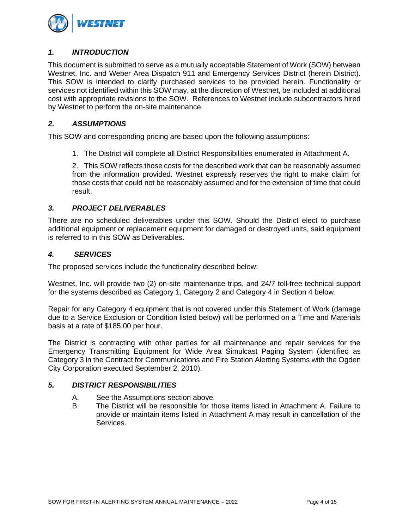

## *1. INTRODUCTION*

This document is submitted to serve as a mutually acceptable Statement of Work (SOW) between Westnet, Inc. and Weber Area Dispatch 911 and Emergency Services District (herein District). This SOW is intended to clarify purchased services to be provided herein. Functionality or services not identified within this SOW may, at the discretion of Westnet, be included at additional cost with appropriate revisions to the SOW. References to Westnet include subcontractors hired by Westnet to perform the on-site maintenance.

### *2. ASSUMPTIONS*

This SOW and corresponding pricing are based upon the following assumptions:

1. The District will complete all District Responsibilities enumerated in Attachment A.

2. This SOW reflects those costs for the described work that can be reasonably assumed from the information provided. Westnet expressly reserves the right to make claim for those costs that could not be reasonably assumed and for the extension of time that could result.

## *3. PROJECT DELIVERABLES*

There are no scheduled deliverables under this SOW. Should the District elect to purchase additional equipment or replacement equipment for damaged or destroyed units, said equipment is referred to in this SOW as Deliverables.

### *4. SERVICES*

The proposed services include the functionality described below:

Westnet, Inc. will provide two (2) on-site maintenance trips, and 24/7 toll-free technical support for the systems described as Category 1, Category 2 and Category 4 in Section 4 below.

Repair for any Category 4 equipment that is not covered under this Statement of Work (damage due to a Service Exclusion or Condition listed below) will be performed on a Time and Materials basis at a rate of \$185.00 per hour.

The District is contracting with other parties for all maintenance and repair services for the Emergency Transmitting Equipment for Wide Area Simulcast Paging System (identified as Category 3 in the Contract for Communications and Fire Station Alerting Systems with the Ogden City Corporation executed September 2, 2010).

### *5. DISTRICT RESPONSIBILITIES*

- A. See the Assumptions section above.
- B. The District will be responsible for those items listed in Attachment A. Failure to provide or maintain items listed in Attachment A may result in cancellation of the Services.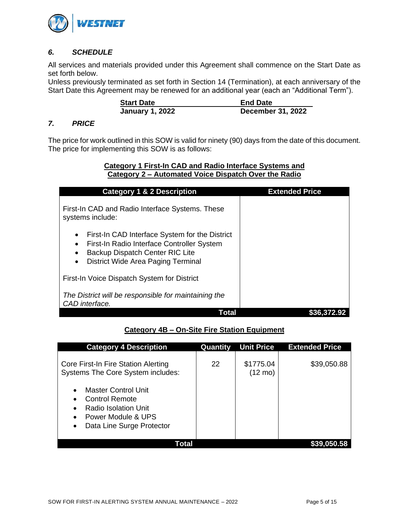

## *6. SCHEDULE*

All services and materials provided under this Agreement shall commence on the Start Date as set forth below.

Unless previously terminated as set forth in Section 14 (Termination), at each anniversary of the Start Date this Agreement may be renewed for an additional year (each an "Additional Term").

| <b>Start Date</b>      | <b>End Date</b>          |
|------------------------|--------------------------|
| <b>January 1, 2022</b> | <b>December 31, 2022</b> |

### *7. PRICE*

The price for work outlined in this SOW is valid for ninety (90) days from the date of this document. The price for implementing this SOW is as follows:

### **Category 1 First-In CAD and Radio Interface Systems and Category 2 – Automated Voice Dispatch Over the Radio**

| <b>Category 1 &amp; 2 Description</b>                                                                                                                                                                             | <b>Extended Price</b> |
|-------------------------------------------------------------------------------------------------------------------------------------------------------------------------------------------------------------------|-----------------------|
| First-In CAD and Radio Interface Systems. These<br>systems include:                                                                                                                                               |                       |
| First-In CAD Interface System for the District<br>٠<br>First-In Radio Interface Controller System<br>$\bullet$<br>Backup Dispatch Center RIC Lite<br>$\bullet$<br>District Wide Area Paging Terminal<br>$\bullet$ |                       |
| First-In Voice Dispatch System for District                                                                                                                                                                       |                       |
| The District will be responsible for maintaining the<br>CAD interface.                                                                                                                                            |                       |
| Total                                                                                                                                                                                                             | 536.3                 |

## **Category 4B – On-Site Fire Station Equipment**

| <b>Category 4 Description</b>                                                                                                                                                                                                                                 | Quantity | <b>Unit Price</b>              | <b>Extended Price</b> |
|---------------------------------------------------------------------------------------------------------------------------------------------------------------------------------------------------------------------------------------------------------------|----------|--------------------------------|-----------------------|
| Core First-In Fire Station Alerting<br><b>Systems The Core System includes:</b><br><b>Master Control Unit</b><br>$\bullet$<br><b>Control Remote</b><br>Radio Isolation Unit<br>$\bullet$<br>Power Module & UPS<br>$\bullet$<br>Data Line Surge Protector<br>٠ | 22       | \$1775.04<br>$(12 \text{ mo})$ | \$39,050.88           |
| Total                                                                                                                                                                                                                                                         |          |                                |                       |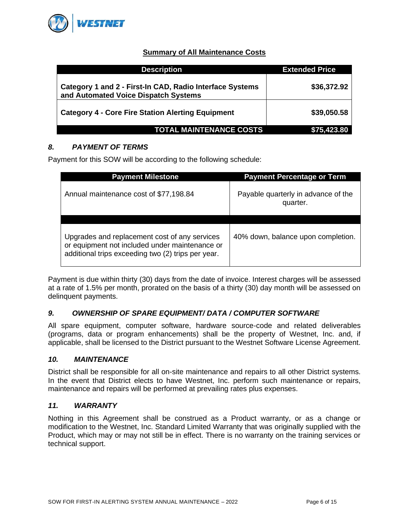

## **Summary of All Maintenance Costs**

| <b>Description</b>                                                                               | <b>Extended Price</b> |
|--------------------------------------------------------------------------------------------------|-----------------------|
| Category 1 and 2 - First-In CAD, Radio Interface Systems<br>and Automated Voice Dispatch Systems | \$36,372.92           |
| <b>Category 4 - Core Fire Station Alerting Equipment</b>                                         | \$39,050.58           |
| <b>TOTAL MAINTENANCE COSTS</b>                                                                   | \$75,423.80           |

## *8. PAYMENT OF TERMS*

Payment for this SOW will be according to the following schedule:

| <b>Payment Milestone</b>                                                                                                                              | <b>Payment Percentage or Term</b>               |
|-------------------------------------------------------------------------------------------------------------------------------------------------------|-------------------------------------------------|
| Annual maintenance cost of \$77,198.84                                                                                                                | Payable quarterly in advance of the<br>quarter. |
| Upgrades and replacement cost of any services<br>or equipment not included under maintenance or<br>additional trips exceeding two (2) trips per year. | 40% down, balance upon completion.              |

Payment is due within thirty (30) days from the date of invoice. Interest charges will be assessed at a rate of 1.5% per month, prorated on the basis of a thirty (30) day month will be assessed on delinquent payments.

## *9. OWNERSHIP OF SPARE EQUIPMENT/ DATA / COMPUTER SOFTWARE*

All spare equipment, computer software, hardware source-code and related deliverables (programs, data or program enhancements) shall be the property of Westnet, Inc. and, if applicable, shall be licensed to the District pursuant to the Westnet Software License Agreement.

### *10. MAINTENANCE*

District shall be responsible for all on-site maintenance and repairs to all other District systems. In the event that District elects to have Westnet, Inc. perform such maintenance or repairs, maintenance and repairs will be performed at prevailing rates plus expenses.

### *11. WARRANTY*

Nothing in this Agreement shall be construed as a Product warranty, or as a change or modification to the Westnet, Inc. Standard Limited Warranty that was originally supplied with the Product, which may or may not still be in effect. There is no warranty on the training services or technical support.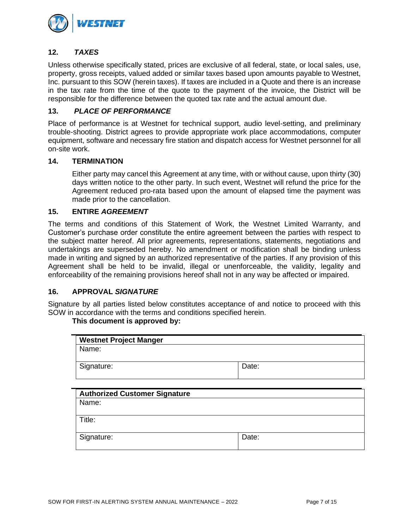

## **12.** *TAXES*

Unless otherwise specifically stated, prices are exclusive of all federal, state, or local sales, use, property, gross receipts, valued added or similar taxes based upon amounts payable to Westnet, Inc. pursuant to this SOW (herein taxes). If taxes are included in a Quote and there is an increase in the tax rate from the time of the quote to the payment of the invoice, the District will be responsible for the difference between the quoted tax rate and the actual amount due.

### **13.** *PLACE OF PERFORMANCE*

Place of performance is at Westnet for technical support, audio level-setting, and preliminary trouble-shooting. District agrees to provide appropriate work place accommodations, computer equipment, software and necessary fire station and dispatch access for Westnet personnel for all on-site work.

### **14. TERMINATION**

Either party may cancel this Agreement at any time, with or without cause, upon thirty (30) days written notice to the other party. In such event, Westnet will refund the price for the Agreement reduced pro-rata based upon the amount of elapsed time the payment was made prior to the cancellation.

### **15. ENTIRE** *AGREEMENT*

The terms and conditions of this Statement of Work, the Westnet Limited Warranty, and Customer's purchase order constitute the entire agreement between the parties with respect to the subject matter hereof. All prior agreements, representations, statements, negotiations and undertakings are superseded hereby. No amendment or modification shall be binding unless made in writing and signed by an authorized representative of the parties. If any provision of this Agreement shall be held to be invalid, illegal or unenforceable, the validity, legality and enforceability of the remaining provisions hereof shall not in any way be affected or impaired.

### **16. APPROVAL** *SIGNATURE*

Signature by all parties listed below constitutes acceptance of and notice to proceed with this SOW in accordance with the terms and conditions specified herein.

### **This document is approved by:**

| <b>Westnet Project Manger</b> |       |
|-------------------------------|-------|
| Name:                         |       |
|                               |       |
| Signature:                    | Date: |
|                               |       |

| <b>Authorized Customer Signature</b> |       |
|--------------------------------------|-------|
| Name:                                |       |
| Title:                               |       |
| Signature:                           | Date: |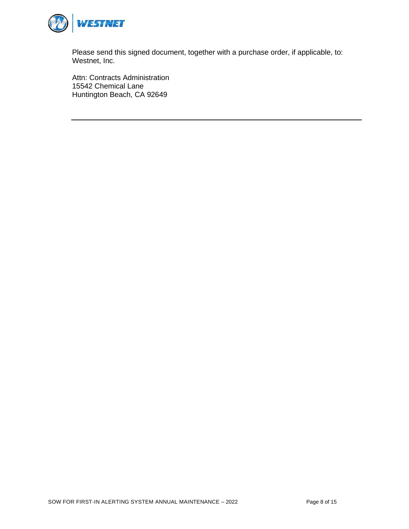

Please send this signed document, together with a purchase order, if applicable, to: Westnet, Inc.

Attn: Contracts Administration 15542 Chemical Lane Huntington Beach, CA 92649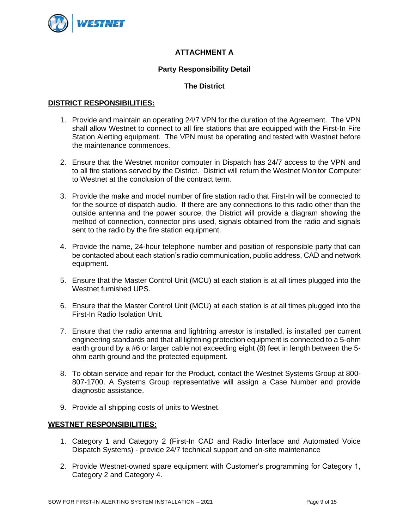

## **ATTACHMENT A**

### **Party Responsibility Detail**

## **The District**

### **DISTRICT RESPONSIBILITIES:**

- 1. Provide and maintain an operating 24/7 VPN for the duration of the Agreement. The VPN shall allow Westnet to connect to all fire stations that are equipped with the First-In Fire Station Alerting equipment. The VPN must be operating and tested with Westnet before the maintenance commences.
- 2. Ensure that the Westnet monitor computer in Dispatch has 24/7 access to the VPN and to all fire stations served by the District. District will return the Westnet Monitor Computer to Westnet at the conclusion of the contract term.
- 3. Provide the make and model number of fire station radio that First-In will be connected to for the source of dispatch audio. If there are any connections to this radio other than the outside antenna and the power source, the District will provide a diagram showing the method of connection, connector pins used, signals obtained from the radio and signals sent to the radio by the fire station equipment.
- 4. Provide the name, 24-hour telephone number and position of responsible party that can be contacted about each station's radio communication, public address, CAD and network equipment.
- 5. Ensure that the Master Control Unit (MCU) at each station is at all times plugged into the Westnet furnished UPS.
- 6. Ensure that the Master Control Unit (MCU) at each station is at all times plugged into the First-In Radio Isolation Unit.
- 7. Ensure that the radio antenna and lightning arrestor is installed, is installed per current engineering standards and that all lightning protection equipment is connected to a 5-ohm earth ground by a #6 or larger cable not exceeding eight (8) feet in length between the 5 ohm earth ground and the protected equipment.
- 8. To obtain service and repair for the Product, contact the Westnet Systems Group at 800- 807-1700. A Systems Group representative will assign a Case Number and provide diagnostic assistance.
- 9. Provide all shipping costs of units to Westnet.

### **WESTNET RESPONSIBILITIES:**

- 1. Category 1 and Category 2 (First-In CAD and Radio Interface and Automated Voice Dispatch Systems) - provide 24/7 technical support and on-site maintenance
- 2. Provide Westnet-owned spare equipment with Customer's programming for Category 1, Category 2 and Category 4.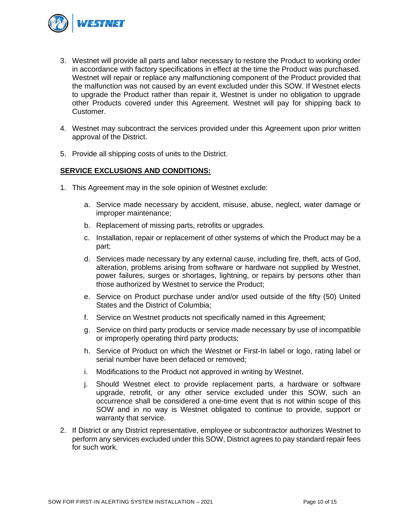

- 3. Westnet will provide all parts and labor necessary to restore the Product to working order in accordance with factory specifications in effect at the time the Product was purchased. Westnet will repair or replace any malfunctioning component of the Product provided that the malfunction was not caused by an event excluded under this SOW. If Westnet elects to upgrade the Product rather than repair it, Westnet is under no obligation to upgrade other Products covered under this Agreement. Westnet will pay for shipping back to Customer.
- 4. Westnet may subcontract the services provided under this Agreement upon prior written approval of the District.
- 5. Provide all shipping costs of units to the District.

### **SERVICE EXCLUSIONS AND CONDITIONS:**

- 1. This Agreement may in the sole opinion of Westnet exclude:
	- a. Service made necessary by accident, misuse, abuse, neglect, water damage or improper maintenance;
	- b. Replacement of missing parts, retrofits or upgrades.
	- c. Installation, repair or replacement of other systems of which the Product may be a part;
	- d. Services made necessary by any external cause, including fire, theft, acts of God, alteration, problems arising from software or hardware not supplied by Westnet, power failures, surges or shortages, lightning, or repairs by persons other than those authorized by Westnet to service the Product;
	- e. Service on Product purchase under and/or used outside of the fifty (50) United States and the District of Columbia;
	- f. Service on Westnet products not specifically named in this Agreement;
	- g. Service on third party products or service made necessary by use of incompatible or improperly operating third party products;
	- h. Service of Product on which the Westnet or First-In label or logo, rating label or serial number have been defaced or removed;
	- i. Modifications to the Product not approved in writing by Westnet.
	- j. Should Westnet elect to provide replacement parts, a hardware or software upgrade, retrofit, or any other service excluded under this SOW, such an occurrence shall be considered a one-time event that is not within scope of this SOW and in no way is Westnet obligated to continue to provide, support or warranty that service.
- 2. If District or any District representative, employee or subcontractor authorizes Westnet to perform any services excluded under this SOW, District agrees to pay standard repair fees for such work.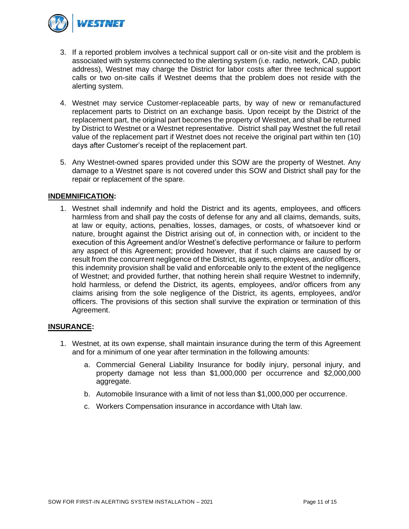

- 3. If a reported problem involves a technical support call or on-site visit and the problem is associated with systems connected to the alerting system (i.e. radio, network, CAD, public address), Westnet may charge the District for labor costs after three technical support calls or two on-site calls if Westnet deems that the problem does not reside with the alerting system.
- 4. Westnet may service Customer-replaceable parts, by way of new or remanufactured replacement parts to District on an exchange basis. Upon receipt by the District of the replacement part, the original part becomes the property of Westnet, and shall be returned by District to Westnet or a Westnet representative. District shall pay Westnet the full retail value of the replacement part if Westnet does not receive the original part within ten (10) days after Customer's receipt of the replacement part.
- 5. Any Westnet-owned spares provided under this SOW are the property of Westnet. Any damage to a Westnet spare is not covered under this SOW and District shall pay for the repair or replacement of the spare.

### **INDEMNIFICATION:**

1. Westnet shall indemnify and hold the District and its agents, employees, and officers harmless from and shall pay the costs of defense for any and all claims, demands, suits, at law or equity, actions, penalties, losses, damages, or costs, of whatsoever kind or nature, brought against the District arising out of, in connection with, or incident to the execution of this Agreement and/or Westnet's defective performance or failure to perform any aspect of this Agreement; provided however, that if such claims are caused by or result from the concurrent negligence of the District, its agents, employees, and/or officers, this indemnity provision shall be valid and enforceable only to the extent of the negligence of Westnet; and provided further, that nothing herein shall require Westnet to indemnify, hold harmless, or defend the District, its agents, employees, and/or officers from any claims arising from the sole negligence of the District, its agents, employees, and/or officers. The provisions of this section shall survive the expiration or termination of this Agreement.

### **INSURANCE:**

- 1. Westnet, at its own expense, shall maintain insurance during the term of this Agreement and for a minimum of one year after termination in the following amounts:
	- a. Commercial General Liability Insurance for bodily injury, personal injury, and property damage not less than \$1,000,000 per occurrence and \$2,000,000 aggregate.
	- b. Automobile Insurance with a limit of not less than \$1,000,000 per occurrence.
	- c. Workers Compensation insurance in accordance with Utah law.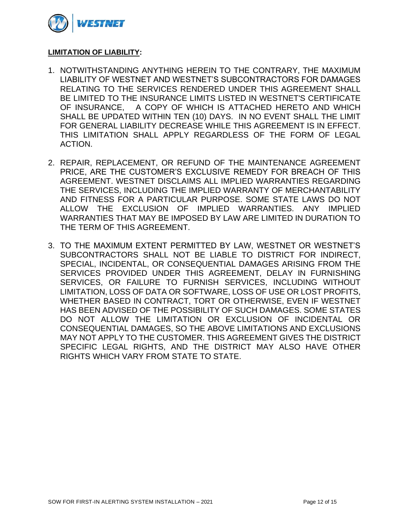

## **LIMITATION OF LIABILITY:**

- 1. NOTWITHSTANDING ANYTHING HEREIN TO THE CONTRARY, THE MAXIMUM LIABILITY OF WESTNET AND WESTNET'S SUBCONTRACTORS FOR DAMAGES RELATING TO THE SERVICES RENDERED UNDER THIS AGREEMENT SHALL BE LIMITED TO THE INSURANCE LIMITS LISTED IN WESTNET'S CERTIFICATE OF INSURANCE, A COPY OF WHICH IS ATTACHED HERETO AND WHICH SHALL BE UPDATED WITHIN TEN (10) DAYS. IN NO EVENT SHALL THE LIMIT FOR GENERAL LIABILITY DECREASE WHILE THIS AGREEMENT IS IN EFFECT. THIS LIMITATION SHALL APPLY REGARDLESS OF THE FORM OF LEGAL ACTION.
- 2. REPAIR, REPLACEMENT, OR REFUND OF THE MAINTENANCE AGREEMENT PRICE, ARE THE CUSTOMER'S EXCLUSIVE REMEDY FOR BREACH OF THIS AGREEMENT. WESTNET DISCLAIMS ALL IMPLIED WARRANTIES REGARDING THE SERVICES, INCLUDING THE IMPLIED WARRANTY OF MERCHANTABILITY AND FITNESS FOR A PARTICULAR PURPOSE. SOME STATE LAWS DO NOT ALLOW THE EXCLUSION OF IMPLIED WARRANTIES. ANY IMPLIED WARRANTIES THAT MAY BE IMPOSED BY LAW ARE LIMITED IN DURATION TO THE TERM OF THIS AGREEMENT.
- 3. TO THE MAXIMUM EXTENT PERMITTED BY LAW, WESTNET OR WESTNET'S SUBCONTRACTORS SHALL NOT BE LIABLE TO DISTRICT FOR INDIRECT, SPECIAL, INCIDENTAL, OR CONSEQUENTIAL DAMAGES ARISING FROM THE SERVICES PROVIDED UNDER THIS AGREEMENT, DELAY IN FURNISHING SERVICES, OR FAILURE TO FURNISH SERVICES, INCLUDING WITHOUT LIMITATION, LOSS OF DATA OR SOFTWARE, LOSS OF USE OR LOST PROFITS, WHETHER BASED IN CONTRACT, TORT OR OTHERWISE, EVEN IF WESTNET HAS BEEN ADVISED OF THE POSSIBILITY OF SUCH DAMAGES. SOME STATES DO NOT ALLOW THE LIMITATION OR EXCLUSION OF INCIDENTAL OR CONSEQUENTIAL DAMAGES, SO THE ABOVE LIMITATIONS AND EXCLUSIONS MAY NOT APPLY TO THE CUSTOMER. THIS AGREEMENT GIVES THE DISTRICT SPECIFIC LEGAL RIGHTS, AND THE DISTRICT MAY ALSO HAVE OTHER RIGHTS WHICH VARY FROM STATE TO STATE.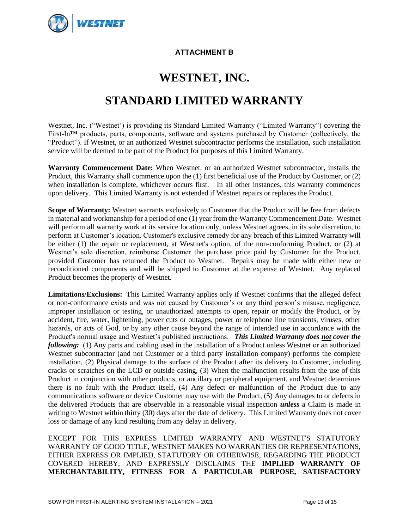

## **ATTACHMENT B**

# **WESTNET, INC.**

# **STANDARD LIMITED WARRANTY**

Westnet, Inc. ("Westnet') is providing its Standard Limited Warranty ("Limited Warranty") covering the First-In™ products, parts, components, software and systems purchased by Customer (collectively, the "Product"). If Westnet, or an authorized Westnet subcontractor performs the installation, such installation service will be deemed to be part of the Product for purposes of this Limited Warranty.

**Warranty Commencement Date:** When Westnet, or an authorized Westnet subcontractor, installs the Product, this Warranty shall commence upon the (1) first beneficial use of the Product by Customer, or (2) when installation is complete, whichever occurs first. In all other instances, this warranty commences upon delivery. This Limited Warranty is not extended if Westnet repairs or replaces the Product.

**Scope of Warranty:** Westnet warrants exclusively to Customer that the Product will be free from defects in material and workmanship for a period of one (1) year from the Warranty Commencement Date. Westnet will perform all warranty work at its service location only, unless Westnet agrees, in its sole discretion, to perform at Customer's location. Customer's exclusive remedy for any breach of this Limited Warranty will be either (1) the repair or replacement, at Westnet's option, of the non-conforming Product, or (2) at Westnet's sole discretion, reimburse Customer the purchase price paid by Customer for the Product, provided Customer has returned the Product to Westnet.Repairs may be made with either new or reconditioned components and will be shipped to Customer at the expense of Westnet. Any replaced Product becomes the property of Westnet.

**Limitations/Exclusions:** This Limited Warranty applies only if Westnet confirms that the alleged defect or non-conformance exists and was not caused by Customer's or any third person's misuse, negligence, improper installation or testing, or unauthorized attempts to open, repair or modify the Product, or by accident, fire, water, lightening, power cuts or outages, power or telephone line transients, viruses, other hazards, or acts of God, or by any other cause beyond the range of intended use in accordance with the Product's normal usage and Westnet's published instructions. *This Limited Warranty does not cover the following:* (1) Any parts and cabling used in the installation of a Product unless Westnet or an authorized Westnet subcontractor (and not Customer or a third party installation company) performs the complete installation, (2) Physical damage to the surface of the Product after its delivery to Customer, including cracks or scratches on the LCD or outside casing, (3) When the malfunction results from the use of this Product in conjunction with other products, or ancillary or peripheral equipment, and Westnet determines there is no fault with the Product itself, (4) Any defect or malfunction of the Product due to any communications software or device Customer may use with the Product, (5) Any damages to or defects in the delivered Products that are observable in a reasonable visual inspection *unless* a Claim is made in writing to Westnet within thirty (30) days after the date of delivery. This Limited Warranty does not cover loss or damage of any kind resulting from any delay in delivery.

EXCEPT FOR THIS EXPRESS LIMITED WARRANTY AND WESTNET'S STATUTORY WARRANTY OF GOOD TITLE, WESTNET MAKES NO WARRANTIES OR REPRESENTATIONS, EITHER EXPRESS OR IMPLIED, STATUTORY OR OTHERWISE, REGARDING THE PRODUCT COVERED HEREBY, AND EXPRESSLY DISCLAIMS THE **IMPLIED WARRANTY OF MERCHANTABILITY, FITNESS FOR A PARTICULAR PURPOSE, SATISFACTORY**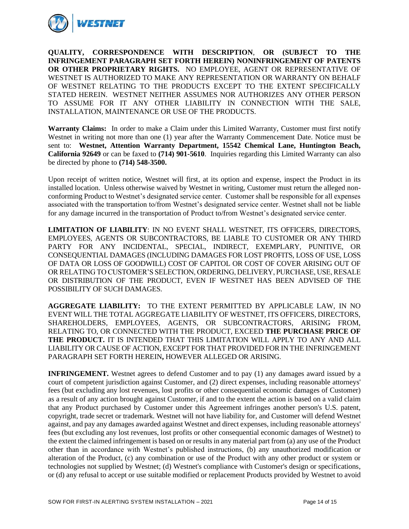

**QUALITY, CORRESPONDENCE WITH DESCRIPTION**, **OR (SUBJECT TO THE INFRINGEMENT PARAGRAPH SET FORTH HEREIN) NONINFRINGEMENT OF PATENTS OR OTHER PROPRIETARY RIGHTS.** NO EMPLOYEE, AGENT OR REPRESENTATIVE OF WESTNET IS AUTHORIZED TO MAKE ANY REPRESENTATION OR WARRANTY ON BEHALF OF WESTNET RELATING TO THE PRODUCTS EXCEPT TO THE EXTENT SPECIFICALLY STATED HEREIN. WESTNET NEITHER ASSUMES NOR AUTHORIZES ANY OTHER PERSON TO ASSUME FOR IT ANY OTHER LIABILITY IN CONNECTION WITH THE SALE, INSTALLATION, MAINTENANCE OR USE OF THE PRODUCTS.

**Warranty Claims:** In order to make a Claim under this Limited Warranty, Customer must first notify Westnet in writing not more than one (1) year after the Warranty Commencement Date. Notice must be sent to: **Westnet, Attention Warranty Department, 15542 Chemical Lane, Huntington Beach, California 92649** or can be faxed to **(714) 901-5610**. Inquiries regarding this Limited Warranty can also be directed by phone to **(714) 548-3500.**

Upon receipt of written notice, Westnet will first, at its option and expense, inspect the Product in its installed location. Unless otherwise waived by Westnet in writing, Customer must return the alleged nonconforming Product to Westnet's designated service center. Customer shall be responsible for all expenses associated with the transportation to/from Westnet's designated service center. Westnet shall not be liable for any damage incurred in the transportation of Product to/from Westnet's designated service center.

**LIMITATION OF LIABILITY**: IN NO EVENT SHALL WESTNET, ITS OFFICERS, DIRECTORS, EMPLOYEES, AGENTS OR SUBCONTRACTORS, BE LIABLE TO CUSTOMER OR ANY THIRD PARTY FOR ANY INCIDENTAL, SPECIAL, INDIRECT, EXEMPLARY, PUNITIVE, OR CONSEQUENTIAL DAMAGES (INCLUDING DAMAGES FOR LOST PROFITS, LOSS OF USE, LOSS OF DATA OR LOSS OF GOODWILL) COST OF CAPITOL OR COST OF COVER ARISING OUT OF OR RELATING TO CUSTOMER'S SELECTION, ORDERING, DELIVERY, PURCHASE, USE, RESALE OR DISTRIBUTION OF THE PRODUCT, EVEN IF WESTNET HAS BEEN ADVISED OF THE POSSIBILITY OF SUCH DAMAGES.

**AGGREGATE LIABILITY:** TO THE EXTENT PERMITTED BY APPLICABLE LAW, IN NO EVENT WILL THE TOTAL AGGREGATE LIABILITY OF WESTNET, ITS OFFICERS, DIRECTORS, SHAREHOLDERS, EMPLOYEES, AGENTS, OR SUBCONTRACTORS, ARISING FROM, RELATING TO, OR CONNECTED WITH THE PRODUCT, EXCEED **THE PURCHASE PRICE OF THE PRODUCT.** IT IS INTENDED THAT THIS LIMITATION WILL APPLY TO ANY AND ALL LIABILITY OR CAUSE OF ACTION, EXCEPT FOR THAT PROVIDED FOR IN THE INFRINGEMENT PARAGRAPH SET FORTH HEREIN**,** HOWEVER ALLEGED OR ARISING.

**INFRINGEMENT.** Westnet agrees to defend Customer and to pay (1) any damages award issued by a court of competent jurisdiction against Customer, and (2) direct expenses, including reasonable attorneys' fees (but excluding any lost revenues, lost profits or other consequential economic damages of Customer) as a result of any action brought against Customer, if and to the extent the action is based on a valid claim that any Product purchased by Customer under this Agreement infringes another person's U.S. patent, copyright, trade secret or trademark. Westnet will not have liability for, and Customer will defend Westnet against, and pay any damages awarded against Westnet and direct expenses, including reasonable attorneys' fees (but excluding any lost revenues, lost profits or other consequential economic damages of Westnet) to the extent the claimed infringement is based on or results in any material part from (a) any use of the Product other than in accordance with Westnet's published instructions, (b) any unauthorized modification or alteration of the Product, (c) any combination or use of the Product with any other product or system or technologies not supplied by Westnet; (d) Westnet's compliance with Customer's design or specifications, or (d) any refusal to accept or use suitable modified or replacement Products provided by Westnet to avoid